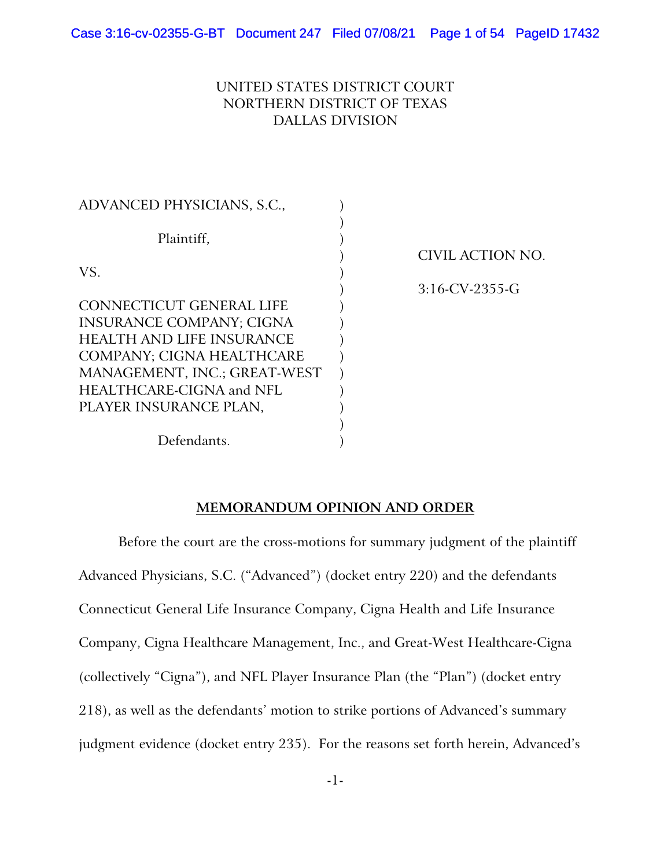# UNITED STATES DISTRICT COURT NORTHERN DISTRICT OF TEXAS DALLAS DIVISION

| ADVANCED PHYSICIANS, S.C.,                                          |  |
|---------------------------------------------------------------------|--|
| Plaintiff,                                                          |  |
| VS.                                                                 |  |
| CONNECTICUT GENERAL LIFE                                            |  |
| <b>INSURANCE COMPANY; CIGNA</b><br><b>HEALTH AND LIFE INSURANCE</b> |  |
| COMPANY; CIGNA HEALTHCARE<br>MANAGEMENT, INC.; GREAT-WEST           |  |
| HEALTHCARE-CIGNA and NFL<br>PLAYER INSURANCE PLAN,                  |  |
| Defendants.                                                         |  |

) CIVIL ACTION NO. ) 3:16-CV-2355-G

# **MEMORANDUM OPINION AND ORDER**

Before the court are the cross-motions for summary judgment of the plaintiff Advanced Physicians, S.C. ("Advanced") (docket entry 220) and the defendants Connecticut General Life Insurance Company, Cigna Health and Life Insurance Company, Cigna Healthcare Management, Inc., and Great-West Healthcare-Cigna (collectively "Cigna"), and NFL Player Insurance Plan (the "Plan") (docket entry 218), as well as the defendants' motion to strike portions of Advanced's summary judgment evidence (docket entry 235). For the reasons set forth herein, Advanced's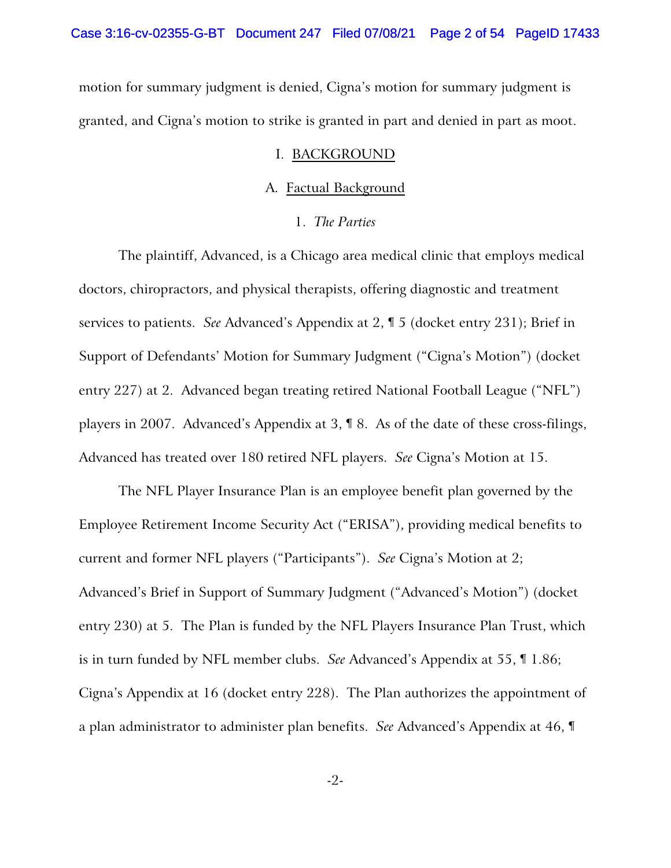motion for summary judgment is denied, Cigna's motion for summary judgment is granted, and Cigna's motion to strike is granted in part and denied in part as moot.

#### I. BACKGROUND

#### A. Factual Background

### 1. *The Parties*

The plaintiff, Advanced, is a Chicago area medical clinic that employs medical doctors, chiropractors, and physical therapists, offering diagnostic and treatment services to patients. *See* Advanced's Appendix at 2, ¶ 5 (docket entry 231); Brief in Support of Defendants' Motion for Summary Judgment ("Cigna's Motion") (docket entry 227) at 2. Advanced began treating retired National Football League ("NFL") players in 2007. Advanced's Appendix at 3, ¶ 8. As of the date of these cross-filings, Advanced has treated over 180 retired NFL players. *See* Cigna's Motion at 15.

The NFL Player Insurance Plan is an employee benefit plan governed by the Employee Retirement Income Security Act ("ERISA"), providing medical benefits to current and former NFL players ("Participants"). *See* Cigna's Motion at 2; Advanced's Brief in Support of Summary Judgment ("Advanced's Motion") (docket entry 230) at 5. The Plan is funded by the NFL Players Insurance Plan Trust, which is in turn funded by NFL member clubs. *See* Advanced's Appendix at 55, ¶ 1.86; Cigna's Appendix at 16 (docket entry 228). The Plan authorizes the appointment of a plan administrator to administer plan benefits. *See* Advanced's Appendix at 46, ¶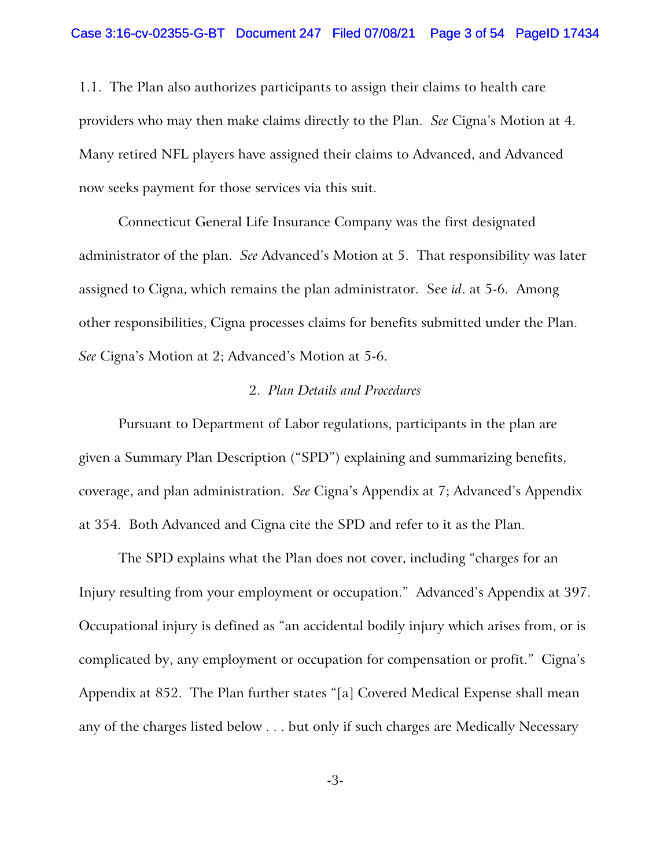1.1. The Plan also authorizes participants to assign their claims to health care providers who may then make claims directly to the Plan. *See* Cigna's Motion at 4. Many retired NFL players have assigned their claims to Advanced, and Advanced now seeks payment for those services via this suit.

Connecticut General Life Insurance Company was the first designated administrator of the plan. *See* Advanced's Motion at 5. That responsibility was later assigned to Cigna, which remains the plan administrator. See *id*. at 5-6. Among other responsibilities, Cigna processes claims for benefits submitted under the Plan. *See* Cigna's Motion at 2; Advanced's Motion at 5-6.

# 2. *Plan Details and Procedures*

Pursuant to Department of Labor regulations, participants in the plan are given a Summary Plan Description ("SPD") explaining and summarizing benefits, coverage, and plan administration. *See* Cigna's Appendix at 7; Advanced's Appendix at 354. Both Advanced and Cigna cite the SPD and refer to it as the Plan.

The SPD explains what the Plan does not cover, including "charges for an Injury resulting from your employment or occupation." Advanced's Appendix at 397. Occupational injury is defined as "an accidental bodily injury which arises from, or is complicated by, any employment or occupation for compensation or profit." Cigna's Appendix at 852. The Plan further states "[a] Covered Medical Expense shall mean any of the charges listed below . . . but only if such charges are Medically Necessary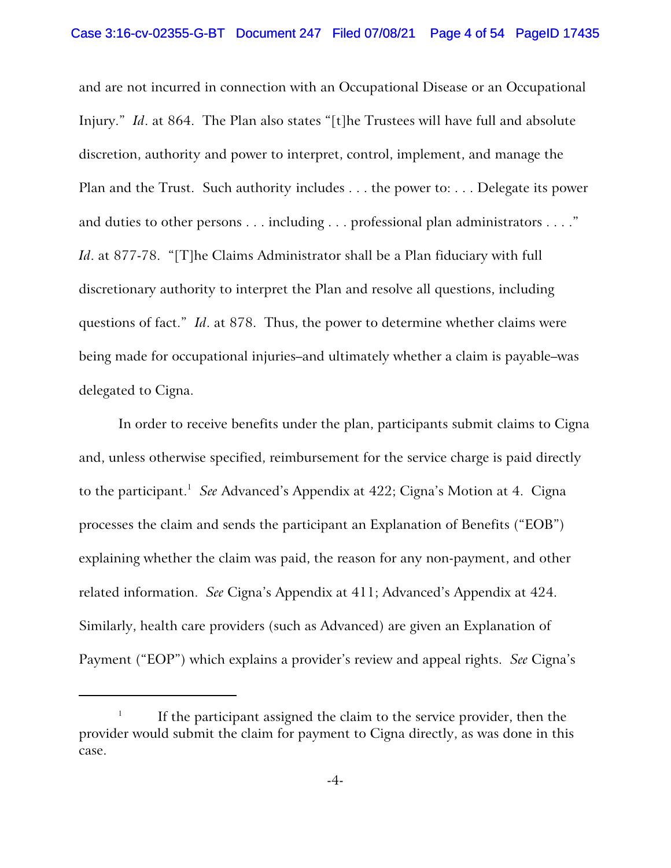and are not incurred in connection with an Occupational Disease or an Occupational Injury." *Id*. at 864. The Plan also states "[t]he Trustees will have full and absolute discretion, authority and power to interpret, control, implement, and manage the Plan and the Trust. Such authority includes . . . the power to: . . . Delegate its power and duties to other persons . . . including . . . professional plan administrators . . . ." *Id*. at 877-78. "[T]he Claims Administrator shall be a Plan fiduciary with full discretionary authority to interpret the Plan and resolve all questions, including questions of fact." *Id*. at 878. Thus, the power to determine whether claims were being made for occupational injuries–and ultimately whether a claim is payable–was delegated to Cigna.

In order to receive benefits under the plan, participants submit claims to Cigna and, unless otherwise specified, reimbursement for the service charge is paid directly to the participant.<sup>1</sup> See Advanced's Appendix at 422; Cigna's Motion at 4. Cigna processes the claim and sends the participant an Explanation of Benefits ("EOB") explaining whether the claim was paid, the reason for any non-payment, and other related information. *See* Cigna's Appendix at 411; Advanced's Appendix at 424. Similarly, health care providers (such as Advanced) are given an Explanation of Payment ("EOP") which explains a provider's review and appeal rights. *See* Cigna's

<sup>1</sup> If the participant assigned the claim to the service provider, then the provider would submit the claim for payment to Cigna directly, as was done in this case.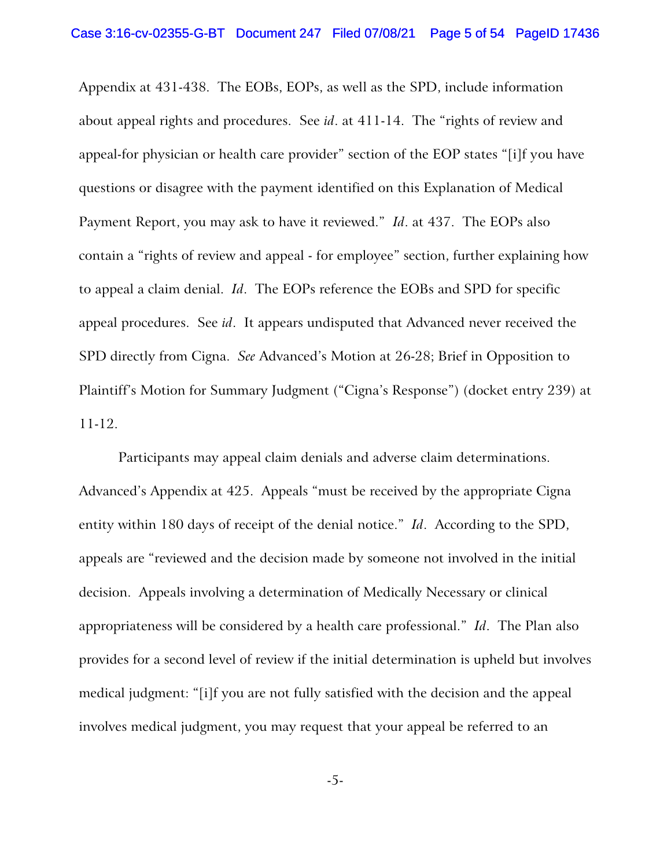Appendix at 431-438. The EOBs, EOPs, as well as the SPD, include information about appeal rights and procedures. See *id*. at 411-14. The "rights of review and appeal-for physician or health care provider" section of the EOP states "[i]f you have questions or disagree with the payment identified on this Explanation of Medical Payment Report, you may ask to have it reviewed." *Id*. at 437. The EOPs also contain a "rights of review and appeal - for employee" section, further explaining how to appeal a claim denial. *Id*. The EOPs reference the EOBs and SPD for specific appeal procedures. See *id*. It appears undisputed that Advanced never received the SPD directly from Cigna. *See* Advanced's Motion at 26-28; Brief in Opposition to Plaintiff's Motion for Summary Judgment ("Cigna's Response") (docket entry 239) at 11-12.

Participants may appeal claim denials and adverse claim determinations. Advanced's Appendix at 425. Appeals "must be received by the appropriate Cigna entity within 180 days of receipt of the denial notice." *Id*. According to the SPD, appeals are "reviewed and the decision made by someone not involved in the initial decision. Appeals involving a determination of Medically Necessary or clinical appropriateness will be considered by a health care professional." *Id*. The Plan also provides for a second level of review if the initial determination is upheld but involves medical judgment: "[i]f you are not fully satisfied with the decision and the appeal involves medical judgment, you may request that your appeal be referred to an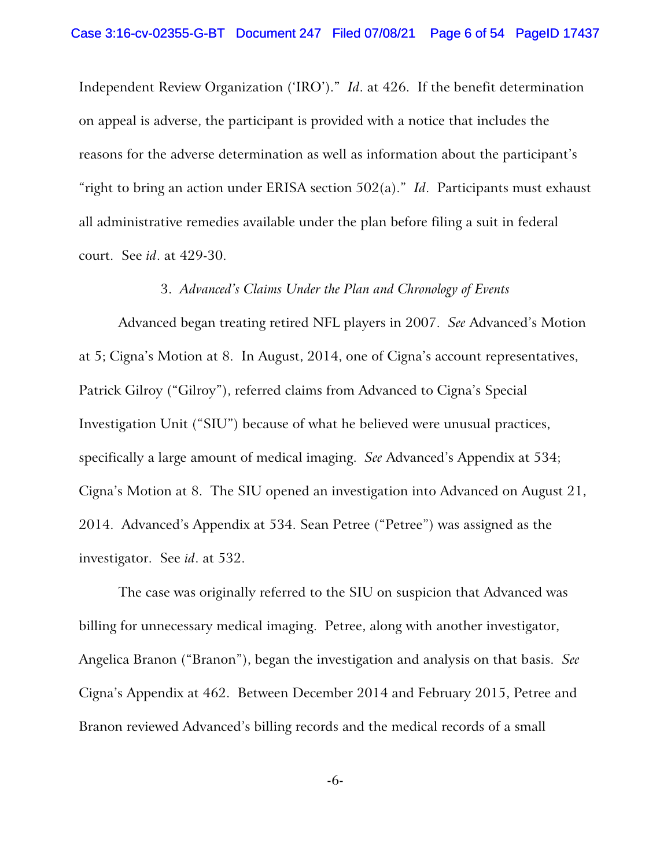Independent Review Organization ('IRO')." *Id*. at 426. If the benefit determination on appeal is adverse, the participant is provided with a notice that includes the reasons for the adverse determination as well as information about the participant's "right to bring an action under ERISA section 502(a)." *Id*. Participants must exhaust all administrative remedies available under the plan before filing a suit in federal court. See *id*. at 429-30.

#### 3. *Advanced's Claims Under the Plan and Chronology of Events*

Advanced began treating retired NFL players in 2007. *See* Advanced's Motion at 5; Cigna's Motion at 8. In August, 2014, one of Cigna's account representatives, Patrick Gilroy ("Gilroy"), referred claims from Advanced to Cigna's Special Investigation Unit ("SIU") because of what he believed were unusual practices, specifically a large amount of medical imaging. *See* Advanced's Appendix at 534; Cigna's Motion at 8. The SIU opened an investigation into Advanced on August 21, 2014. Advanced's Appendix at 534. Sean Petree ("Petree") was assigned as the investigator. See *id*. at 532.

The case was originally referred to the SIU on suspicion that Advanced was billing for unnecessary medical imaging. Petree, along with another investigator, Angelica Branon ("Branon"), began the investigation and analysis on that basis. *See* Cigna's Appendix at 462. Between December 2014 and February 2015, Petree and Branon reviewed Advanced's billing records and the medical records of a small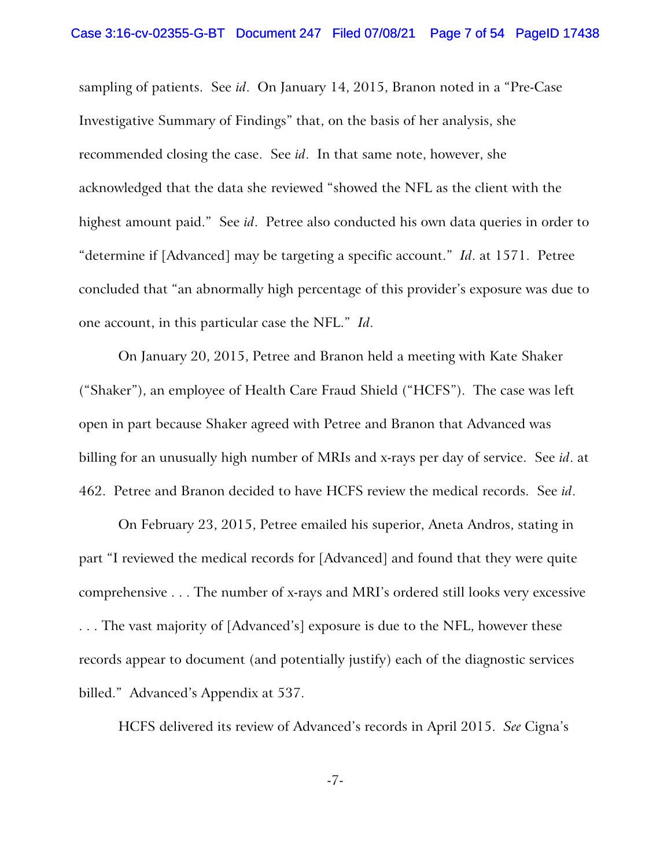sampling of patients. See *id*. On January 14, 2015, Branon noted in a "Pre-Case Investigative Summary of Findings" that, on the basis of her analysis, she recommended closing the case. See *id*. In that same note, however, she acknowledged that the data she reviewed "showed the NFL as the client with the highest amount paid." See *id*. Petree also conducted his own data queries in order to "determine if [Advanced] may be targeting a specific account." *Id*. at 1571. Petree concluded that "an abnormally high percentage of this provider's exposure was due to one account, in this particular case the NFL." *Id*.

On January 20, 2015, Petree and Branon held a meeting with Kate Shaker ("Shaker"), an employee of Health Care Fraud Shield ("HCFS"). The case was left open in part because Shaker agreed with Petree and Branon that Advanced was billing for an unusually high number of MRIs and x-rays per day of service. See *id*. at 462. Petree and Branon decided to have HCFS review the medical records. See *id*.

On February 23, 2015, Petree emailed his superior, Aneta Andros, stating in part "I reviewed the medical records for [Advanced] and found that they were quite comprehensive . . . The number of x-rays and MRI's ordered still looks very excessive . . . The vast majority of [Advanced's] exposure is due to the NFL, however these records appear to document (and potentially justify) each of the diagnostic services billed." Advanced's Appendix at 537.

HCFS delivered its review of Advanced's records in April 2015. *See* Cigna's

-7-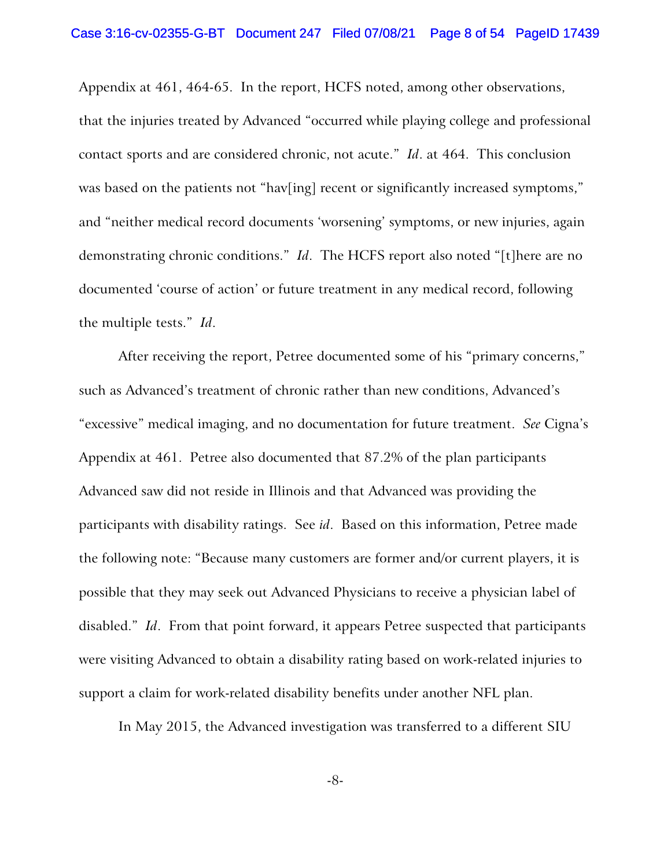Appendix at 461, 464-65. In the report, HCFS noted, among other observations, that the injuries treated by Advanced "occurred while playing college and professional contact sports and are considered chronic, not acute." *Id*. at 464. This conclusion was based on the patients not "hav[ing] recent or significantly increased symptoms," and "neither medical record documents 'worsening' symptoms, or new injuries, again demonstrating chronic conditions." *Id*. The HCFS report also noted "[t]here are no documented 'course of action' or future treatment in any medical record, following the multiple tests." *Id*.

After receiving the report, Petree documented some of his "primary concerns," such as Advanced's treatment of chronic rather than new conditions, Advanced's "excessive" medical imaging, and no documentation for future treatment. *See* Cigna's Appendix at 461. Petree also documented that 87.2% of the plan participants Advanced saw did not reside in Illinois and that Advanced was providing the participants with disability ratings. See *id*. Based on this information, Petree made the following note: "Because many customers are former and/or current players, it is possible that they may seek out Advanced Physicians to receive a physician label of disabled." *Id*. From that point forward, it appears Petree suspected that participants were visiting Advanced to obtain a disability rating based on work-related injuries to support a claim for work-related disability benefits under another NFL plan.

In May 2015, the Advanced investigation was transferred to a different SIU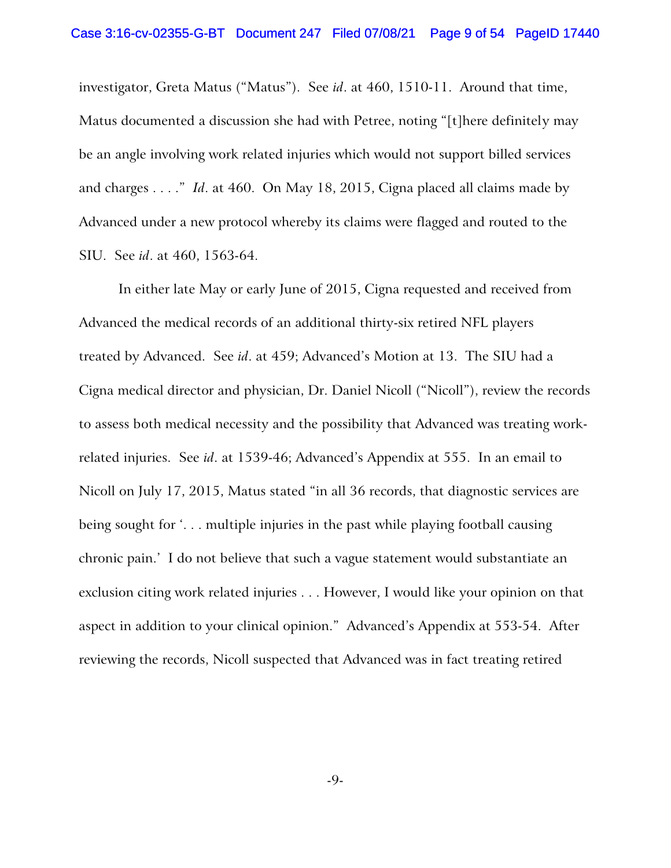investigator, Greta Matus ("Matus"). See *id*. at 460, 1510-11. Around that time, Matus documented a discussion she had with Petree, noting "[t]here definitely may be an angle involving work related injuries which would not support billed services and charges . . . ." *Id*. at 460. On May 18, 2015, Cigna placed all claims made by Advanced under a new protocol whereby its claims were flagged and routed to the SIU. See *id*. at 460, 1563-64.

In either late May or early June of 2015, Cigna requested and received from Advanced the medical records of an additional thirty-six retired NFL players treated by Advanced. See *id*. at 459; Advanced's Motion at 13. The SIU had a Cigna medical director and physician, Dr. Daniel Nicoll ("Nicoll"), review the records to assess both medical necessity and the possibility that Advanced was treating workrelated injuries. See *id*. at 1539-46; Advanced's Appendix at 555. In an email to Nicoll on July 17, 2015, Matus stated "in all 36 records, that diagnostic services are being sought for '. . . multiple injuries in the past while playing football causing chronic pain.' I do not believe that such a vague statement would substantiate an exclusion citing work related injuries . . . However, I would like your opinion on that aspect in addition to your clinical opinion." Advanced's Appendix at 553-54. After reviewing the records, Nicoll suspected that Advanced was in fact treating retired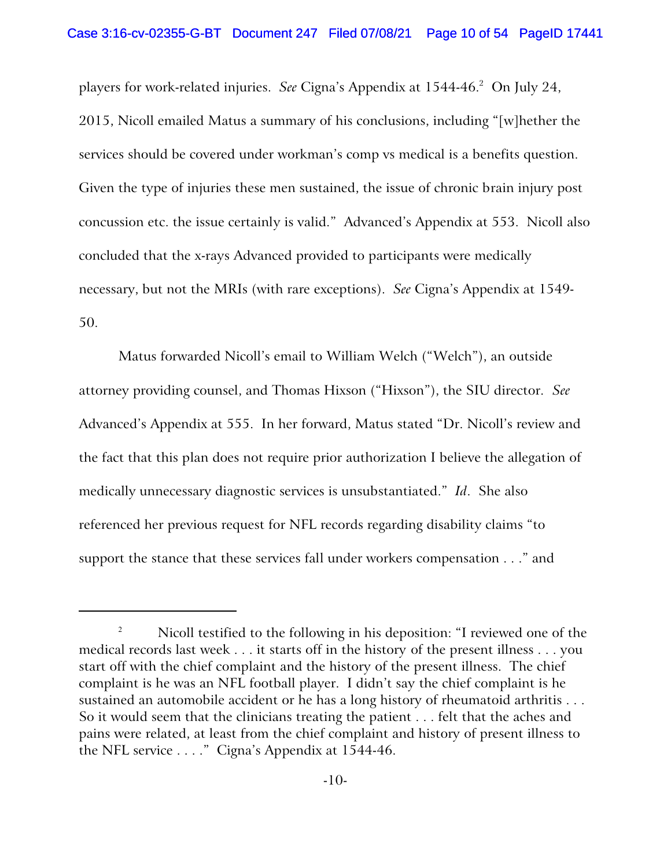players for work-related injuries. See Cigna's Appendix at 1544-46.<sup>2</sup> On July 24, 2015, Nicoll emailed Matus a summary of his conclusions, including "[w]hether the services should be covered under workman's comp vs medical is a benefits question. Given the type of injuries these men sustained, the issue of chronic brain injury post concussion etc. the issue certainly is valid." Advanced's Appendix at 553. Nicoll also concluded that the x-rays Advanced provided to participants were medically necessary, but not the MRIs (with rare exceptions). *See* Cigna's Appendix at 1549- 50.

Matus forwarded Nicoll's email to William Welch ("Welch"), an outside attorney providing counsel, and Thomas Hixson ("Hixson"), the SIU director. *See* Advanced's Appendix at 555. In her forward, Matus stated "Dr. Nicoll's review and the fact that this plan does not require prior authorization I believe the allegation of medically unnecessary diagnostic services is unsubstantiated." *Id*. She also referenced her previous request for NFL records regarding disability claims "to support the stance that these services fall under workers compensation . . ." and

<sup>&</sup>lt;sup>2</sup> Nicoll testified to the following in his deposition: "I reviewed one of the medical records last week . . . it starts off in the history of the present illness . . . you start off with the chief complaint and the history of the present illness. The chief complaint is he was an NFL football player. I didn't say the chief complaint is he sustained an automobile accident or he has a long history of rheumatoid arthritis . . . So it would seem that the clinicians treating the patient . . . felt that the aches and pains were related, at least from the chief complaint and history of present illness to the NFL service . . . ." Cigna's Appendix at 1544-46.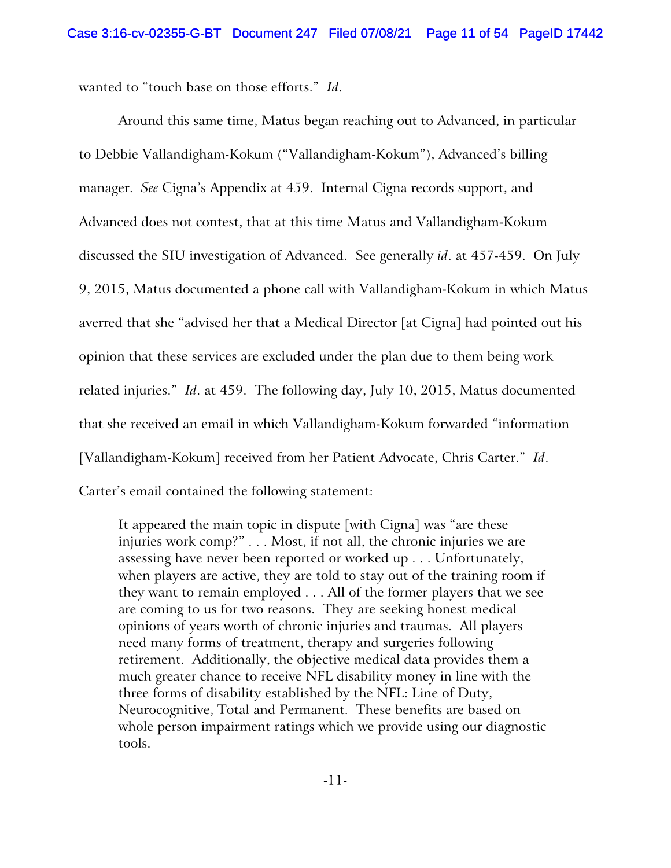wanted to "touch base on those efforts." *Id*.

Around this same time, Matus began reaching out to Advanced, in particular to Debbie Vallandigham-Kokum ("Vallandigham-Kokum"), Advanced's billing manager. *See* Cigna's Appendix at 459. Internal Cigna records support, and Advanced does not contest, that at this time Matus and Vallandigham-Kokum discussed the SIU investigation of Advanced. See generally *id*. at 457-459. On July 9, 2015, Matus documented a phone call with Vallandigham-Kokum in which Matus averred that she "advised her that a Medical Director [at Cigna] had pointed out his opinion that these services are excluded under the plan due to them being work related injuries." *Id*. at 459. The following day, July 10, 2015, Matus documented that she received an email in which Vallandigham-Kokum forwarded "information [Vallandigham-Kokum] received from her Patient Advocate, Chris Carter." *Id*. Carter's email contained the following statement:

It appeared the main topic in dispute [with Cigna] was "are these injuries work comp?" . . . Most, if not all, the chronic injuries we are assessing have never been reported or worked up . . . Unfortunately, when players are active, they are told to stay out of the training room if they want to remain employed . . . All of the former players that we see are coming to us for two reasons. They are seeking honest medical opinions of years worth of chronic injuries and traumas. All players need many forms of treatment, therapy and surgeries following retirement. Additionally, the objective medical data provides them a much greater chance to receive NFL disability money in line with the three forms of disability established by the NFL: Line of Duty, Neurocognitive, Total and Permanent. These benefits are based on whole person impairment ratings which we provide using our diagnostic tools.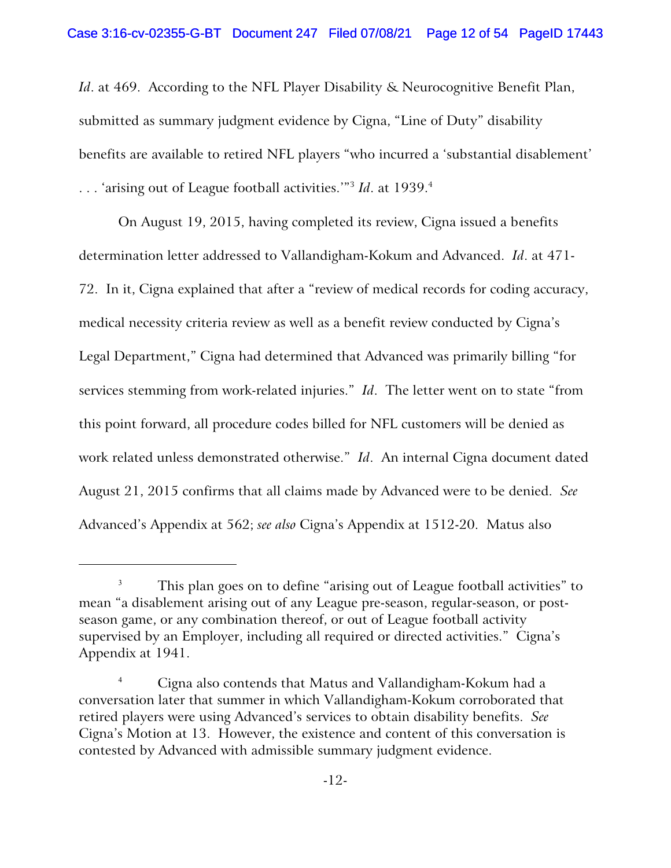*Id*. at 469. According to the NFL Player Disability & Neurocognitive Benefit Plan, submitted as summary judgment evidence by Cigna, "Line of Duty" disability benefits are available to retired NFL players "who incurred a 'substantial disablement' ... 'arising out of League football activities.'"<sup>3</sup> Id. at 1939.<sup>4</sup>

On August 19, 2015, having completed its review, Cigna issued a benefits determination letter addressed to Vallandigham-Kokum and Advanced. *Id*. at 471- 72. In it, Cigna explained that after a "review of medical records for coding accuracy, medical necessity criteria review as well as a benefit review conducted by Cigna's Legal Department," Cigna had determined that Advanced was primarily billing "for services stemming from work-related injuries." *Id*. The letter went on to state "from this point forward, all procedure codes billed for NFL customers will be denied as work related unless demonstrated otherwise." *Id*. An internal Cigna document dated August 21, 2015 confirms that all claims made by Advanced were to be denied. *See* Advanced's Appendix at 562; *see also* Cigna's Appendix at 1512-20. Matus also

This plan goes on to define "arising out of League football activities" to mean "a disablement arising out of any League pre-season, regular-season, or postseason game, or any combination thereof, or out of League football activity supervised by an Employer, including all required or directed activities." Cigna's Appendix at 1941.

<sup>4</sup> Cigna also contends that Matus and Vallandigham-Kokum had a conversation later that summer in which Vallandigham-Kokum corroborated that retired players were using Advanced's services to obtain disability benefits. *See* Cigna's Motion at 13. However, the existence and content of this conversation is contested by Advanced with admissible summary judgment evidence.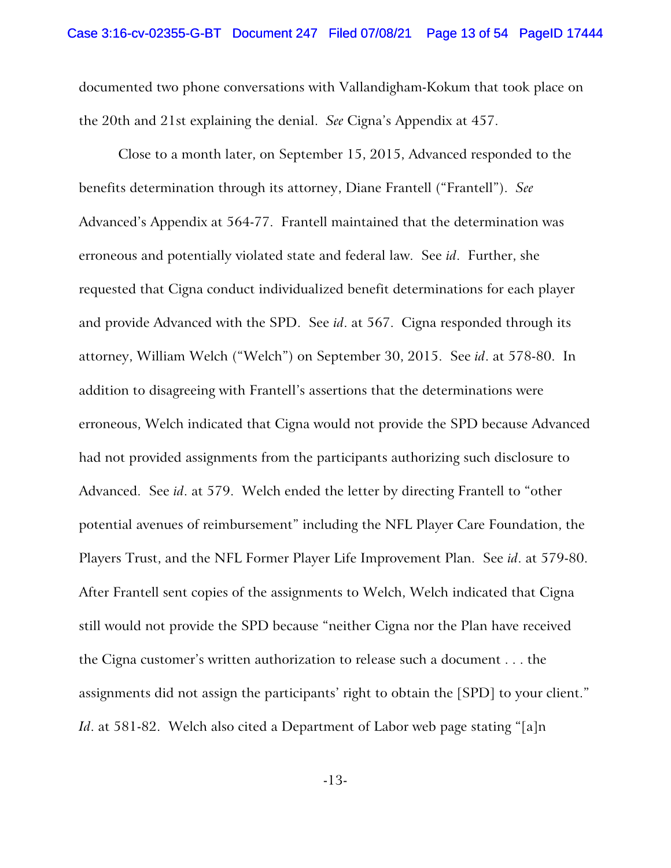documented two phone conversations with Vallandigham-Kokum that took place on the 20th and 21st explaining the denial. *See* Cigna's Appendix at 457.

Close to a month later, on September 15, 2015, Advanced responded to the benefits determination through its attorney, Diane Frantell ("Frantell"). *See* Advanced's Appendix at 564-77. Frantell maintained that the determination was erroneous and potentially violated state and federal law. See *id*. Further, she requested that Cigna conduct individualized benefit determinations for each player and provide Advanced with the SPD. See *id*. at 567. Cigna responded through its attorney, William Welch ("Welch") on September 30, 2015. See *id*. at 578-80. In addition to disagreeing with Frantell's assertions that the determinations were erroneous, Welch indicated that Cigna would not provide the SPD because Advanced had not provided assignments from the participants authorizing such disclosure to Advanced. See *id*. at 579. Welch ended the letter by directing Frantell to "other potential avenues of reimbursement" including the NFL Player Care Foundation, the Players Trust, and the NFL Former Player Life Improvement Plan. See *id*. at 579-80. After Frantell sent copies of the assignments to Welch, Welch indicated that Cigna still would not provide the SPD because "neither Cigna nor the Plan have received the Cigna customer's written authorization to release such a document . . . the assignments did not assign the participants' right to obtain the [SPD] to your client." *Id*. at 581-82. Welch also cited a Department of Labor web page stating "[a]n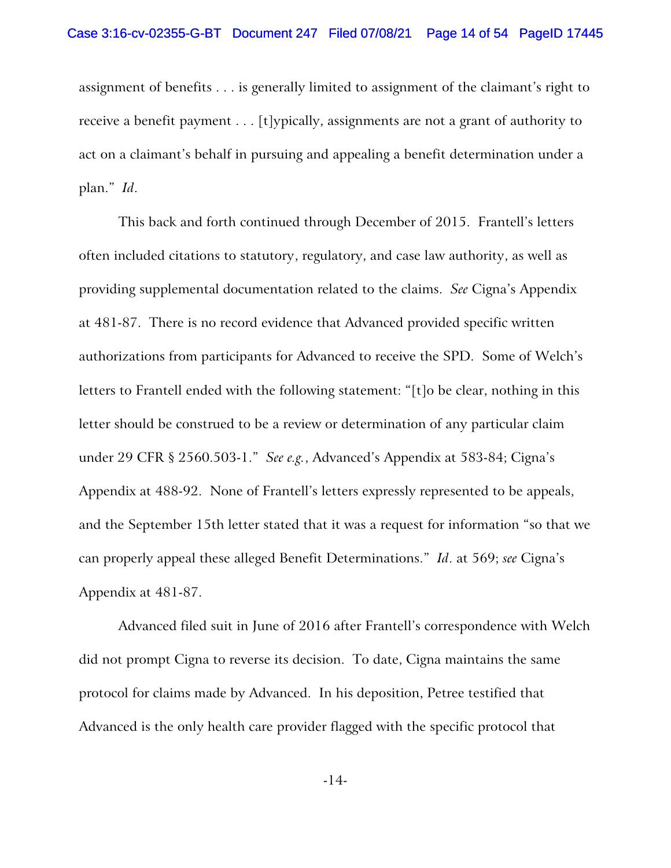assignment of benefits . . . is generally limited to assignment of the claimant's right to receive a benefit payment . . . [t]ypically, assignments are not a grant of authority to act on a claimant's behalf in pursuing and appealing a benefit determination under a plan." *Id*.

This back and forth continued through December of 2015. Frantell's letters often included citations to statutory, regulatory, and case law authority, as well as providing supplemental documentation related to the claims. *See* Cigna's Appendix at 481-87. There is no record evidence that Advanced provided specific written authorizations from participants for Advanced to receive the SPD. Some of Welch's letters to Frantell ended with the following statement: "[t]o be clear, nothing in this letter should be construed to be a review or determination of any particular claim under 29 CFR § 2560.503-1." *See e.g.*, Advanced's Appendix at 583-84; Cigna's Appendix at 488-92. None of Frantell's letters expressly represented to be appeals, and the September 15th letter stated that it was a request for information "so that we can properly appeal these alleged Benefit Determinations." *Id*. at 569; *see* Cigna's Appendix at 481-87.

Advanced filed suit in June of 2016 after Frantell's correspondence with Welch did not prompt Cigna to reverse its decision. To date, Cigna maintains the same protocol for claims made by Advanced. In his deposition, Petree testified that Advanced is the only health care provider flagged with the specific protocol that

-14-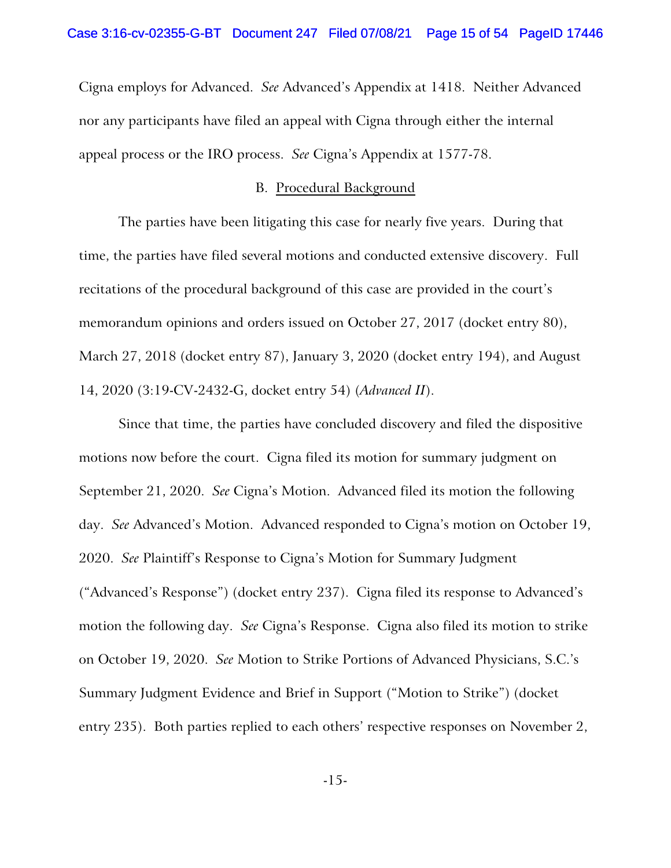Cigna employs for Advanced. *See* Advanced's Appendix at 1418. Neither Advanced nor any participants have filed an appeal with Cigna through either the internal appeal process or the IRO process. *See* Cigna's Appendix at 1577-78.

### B. Procedural Background

The parties have been litigating this case for nearly five years. During that time, the parties have filed several motions and conducted extensive discovery. Full recitations of the procedural background of this case are provided in the court's memorandum opinions and orders issued on October 27, 2017 (docket entry 80), March 27, 2018 (docket entry 87), January 3, 2020 (docket entry 194), and August 14, 2020 (3:19-CV-2432-G, docket entry 54) (*Advanced II*).

Since that time, the parties have concluded discovery and filed the dispositive motions now before the court. Cigna filed its motion for summary judgment on September 21, 2020. *See* Cigna's Motion. Advanced filed its motion the following day. *See* Advanced's Motion. Advanced responded to Cigna's motion on October 19, 2020. *See* Plaintiff's Response to Cigna's Motion for Summary Judgment ("Advanced's Response") (docket entry 237). Cigna filed its response to Advanced's motion the following day. *See* Cigna's Response. Cigna also filed its motion to strike on October 19, 2020. *See* Motion to Strike Portions of Advanced Physicians, S.C.'s Summary Judgment Evidence and Brief in Support ("Motion to Strike") (docket entry 235). Both parties replied to each others' respective responses on November 2,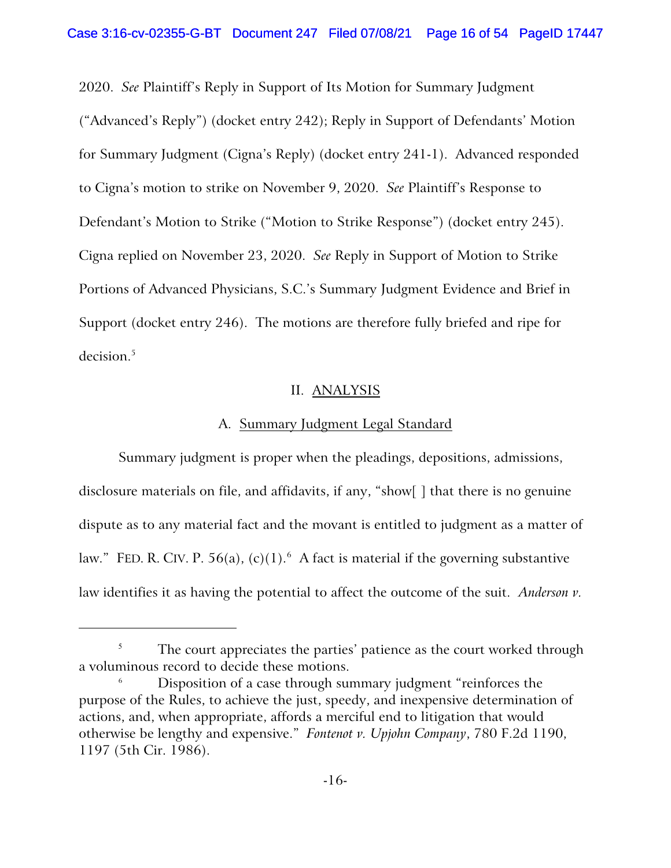2020. *See* Plaintiff's Reply in Support of Its Motion for Summary Judgment ("Advanced's Reply") (docket entry 242); Reply in Support of Defendants' Motion for Summary Judgment (Cigna's Reply) (docket entry 241-1). Advanced responded to Cigna's motion to strike on November 9, 2020. *See* Plaintiff's Response to Defendant's Motion to Strike ("Motion to Strike Response") (docket entry 245). Cigna replied on November 23, 2020. *See* Reply in Support of Motion to Strike Portions of Advanced Physicians, S.C.'s Summary Judgment Evidence and Brief in Support (docket entry 246). The motions are therefore fully briefed and ripe for decision.<sup>5</sup>

## II. ANALYSIS

## A. Summary Judgment Legal Standard

Summary judgment is proper when the pleadings, depositions, admissions, disclosure materials on file, and affidavits, if any, "show[ ] that there is no genuine dispute as to any material fact and the movant is entitled to judgment as a matter of law." FED. R. CIV. P. 56(a), (c)(1). $^6$  A fact is material if the governing substantive law identifies it as having the potential to affect the outcome of the suit. *Anderson v.*

The court appreciates the parties' patience as the court worked through a voluminous record to decide these motions.

Disposition of a case through summary judgment "reinforces the purpose of the Rules, to achieve the just, speedy, and inexpensive determination of actions, and, when appropriate, affords a merciful end to litigation that would otherwise be lengthy and expensive." *Fontenot v. Upjohn Company*, 780 F.2d 1190, 1197 (5th Cir. 1986).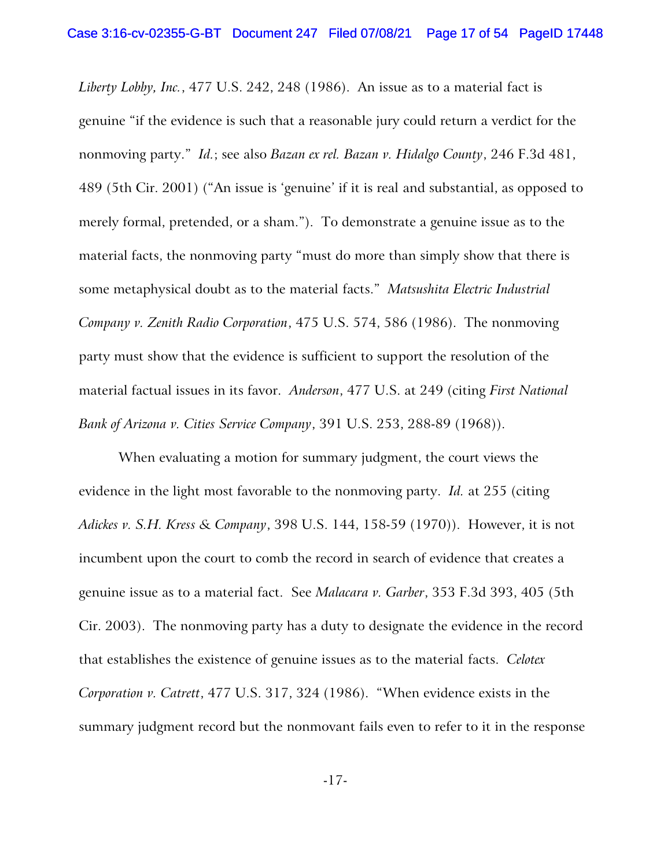*Liberty Lobby, Inc.*, 477 U.S. 242, 248 (1986). An issue as to a material fact is genuine "if the evidence is such that a reasonable jury could return a verdict for the nonmoving party." *Id.*; see also *Bazan ex rel. Bazan v. Hidalgo County*, 246 F.3d 481, 489 (5th Cir. 2001) ("An issue is 'genuine' if it is real and substantial, as opposed to merely formal, pretended, or a sham."). To demonstrate a genuine issue as to the material facts, the nonmoving party "must do more than simply show that there is some metaphysical doubt as to the material facts." *Matsushita Electric Industrial Company v. Zenith Radio Corporation*, 475 U.S. 574, 586 (1986). The nonmoving party must show that the evidence is sufficient to support the resolution of the material factual issues in its favor. *Anderson*, 477 U.S. at 249 (citing *First National Bank of Arizona v. Cities Service Company*, 391 U.S. 253, 288-89 (1968)).

When evaluating a motion for summary judgment, the court views the evidence in the light most favorable to the nonmoving party. *Id.* at 255 (citing *Adickes v. S.H. Kress & Company*, 398 U.S. 144, 158-59 (1970)). However, it is not incumbent upon the court to comb the record in search of evidence that creates a genuine issue as to a material fact. See *Malacara v. Garber*, 353 F.3d 393, 405 (5th Cir. 2003). The nonmoving party has a duty to designate the evidence in the record that establishes the existence of genuine issues as to the material facts. *Celotex Corporation v. Catrett*, 477 U.S. 317, 324 (1986). "When evidence exists in the summary judgment record but the nonmovant fails even to refer to it in the response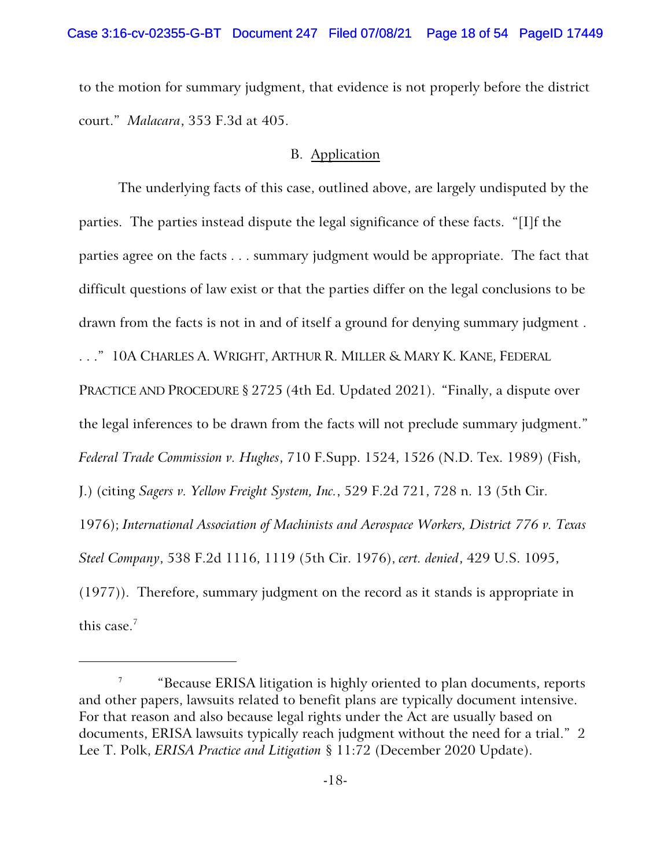to the motion for summary judgment, that evidence is not properly before the district court." *Malacara*, 353 F.3d at 405.

## B. Application

The underlying facts of this case, outlined above, are largely undisputed by the parties. The parties instead dispute the legal significance of these facts. "[I]f the parties agree on the facts . . . summary judgment would be appropriate. The fact that difficult questions of law exist or that the parties differ on the legal conclusions to be drawn from the facts is not in and of itself a ground for denying summary judgment . . . ." 10A CHARLES A. WRIGHT, ARTHUR R. MILLER & MARY K. KANE, FEDERAL PRACTICE AND PROCEDURE § 2725 (4th Ed. Updated 2021). "Finally, a dispute over the legal inferences to be drawn from the facts will not preclude summary judgment." *Federal Trade Commission v. Hughes*, 710 F.Supp. 1524, 1526 (N.D. Tex. 1989) (Fish, J.) (citing *Sagers v. Yellow Freight System, Inc.*, 529 F.2d 721, 728 n. 13 (5th Cir. 1976); *International Association of Machinists and Aerospace Workers, District 776 v. Texas Steel Company*, 538 F.2d 1116, 1119 (5th Cir. 1976), *cert. denied*, 429 U.S. 1095, (1977)). Therefore, summary judgment on the record as it stands is appropriate in this case.<sup>7</sup>

<sup>7</sup> "Because ERISA litigation is highly oriented to plan documents, reports and other papers, lawsuits related to benefit plans are typically document intensive. For that reason and also because legal rights under the Act are usually based on documents, ERISA lawsuits typically reach judgment without the need for a trial." 2 Lee T. Polk, *ERISA Practice and Litigation* § 11:72 (December 2020 Update).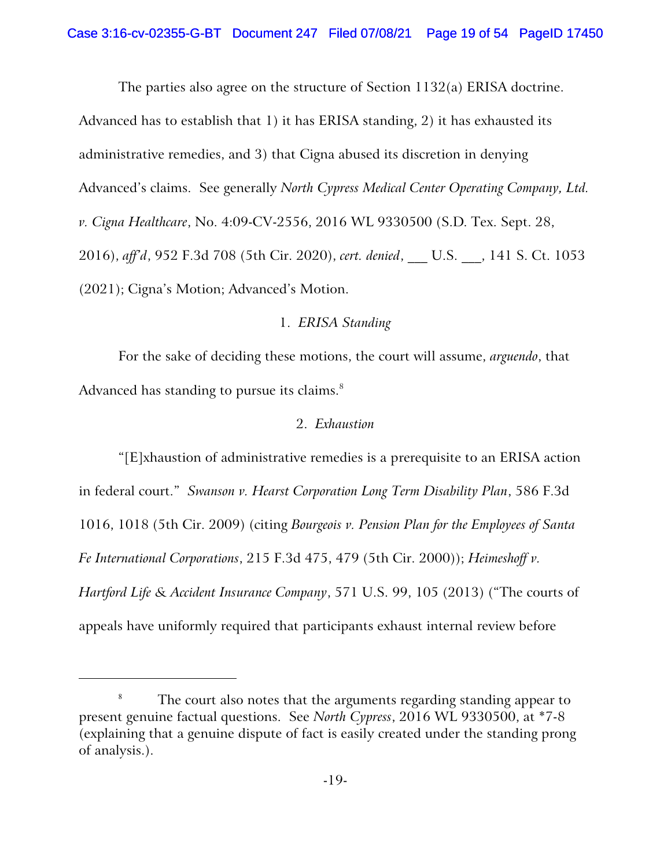The parties also agree on the structure of Section 1132(a) ERISA doctrine.

Advanced has to establish that 1) it has ERISA standing, 2) it has exhausted its administrative remedies, and 3) that Cigna abused its discretion in denying Advanced's claims. See generally *North Cypress Medical Center Operating Company, Ltd. v. Cigna Healthcare*, No. 4:09-CV-2556, 2016 WL 9330500 (S.D. Tex. Sept. 28, 2016), *aff'd*, 952 F.3d 708 (5th Cir. 2020), *cert. denied*, \_\_\_ U.S. \_\_\_, 141 S. Ct. 1053 (2021); Cigna's Motion; Advanced's Motion.

## 1. *ERISA Standing*

For the sake of deciding these motions, the court will assume, *arguendo*, that Advanced has standing to pursue its claims.<sup>8</sup>

## 2. *Exhaustion*

"[E]xhaustion of administrative remedies is a prerequisite to an ERISA action in federal court." *Swanson v. Hearst Corporation Long Term Disability Plan*, 586 F.3d 1016, 1018 (5th Cir. 2009) (citing *Bourgeois v. Pension Plan for the Employees of Santa Fe International Corporations*, 215 F.3d 475, 479 (5th Cir. 2000)); *Heimeshoff v. Hartford Life & Accident Insurance Company*, 571 U.S. 99, 105 (2013) ("The courts of appeals have uniformly required that participants exhaust internal review before

<sup>&</sup>lt;sup>8</sup> The court also notes that the arguments regarding standing appear to present genuine factual questions. See *North Cypress*, 2016 WL 9330500, at \*7-8 (explaining that a genuine dispute of fact is easily created under the standing prong of analysis.).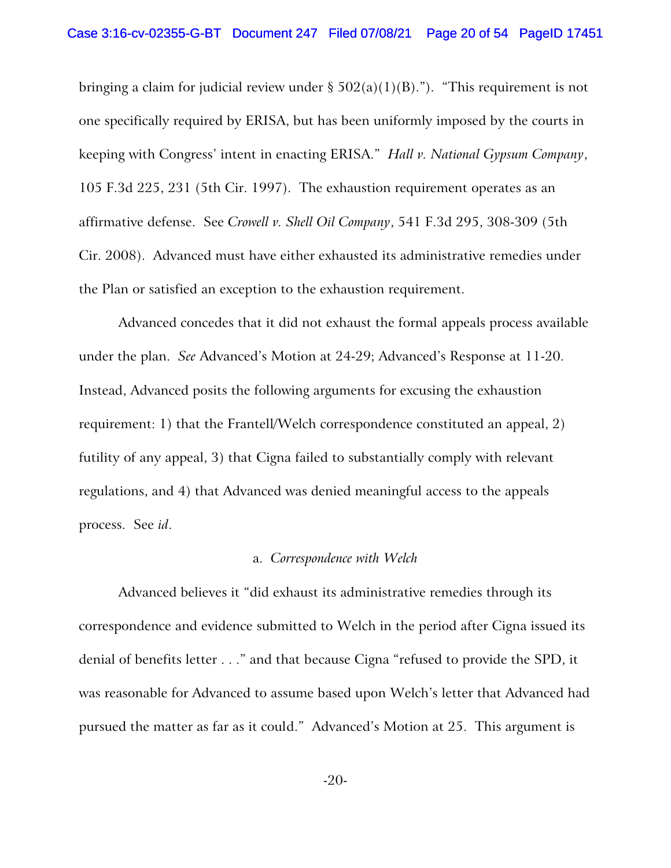bringing a claim for judicial review under  $\S 502(a)(1)(B)$ ."). "This requirement is not one specifically required by ERISA, but has been uniformly imposed by the courts in keeping with Congress' intent in enacting ERISA." *Hall v. National Gypsum Company*, 105 F.3d 225, 231 (5th Cir. 1997). The exhaustion requirement operates as an affirmative defense. See *Crowell v. Shell Oil Company*, 541 F.3d 295, 308-309 (5th Cir. 2008). Advanced must have either exhausted its administrative remedies under the Plan or satisfied an exception to the exhaustion requirement.

Advanced concedes that it did not exhaust the formal appeals process available under the plan. *See* Advanced's Motion at 24-29; Advanced's Response at 11-20. Instead, Advanced posits the following arguments for excusing the exhaustion requirement: 1) that the Frantell/Welch correspondence constituted an appeal, 2) futility of any appeal, 3) that Cigna failed to substantially comply with relevant regulations, and 4) that Advanced was denied meaningful access to the appeals process. See *id*.

#### a. *Correspondence with Welch*

Advanced believes it "did exhaust its administrative remedies through its correspondence and evidence submitted to Welch in the period after Cigna issued its denial of benefits letter . . ." and that because Cigna "refused to provide the SPD, it was reasonable for Advanced to assume based upon Welch's letter that Advanced had pursued the matter as far as it could." Advanced's Motion at 25. This argument is

-20-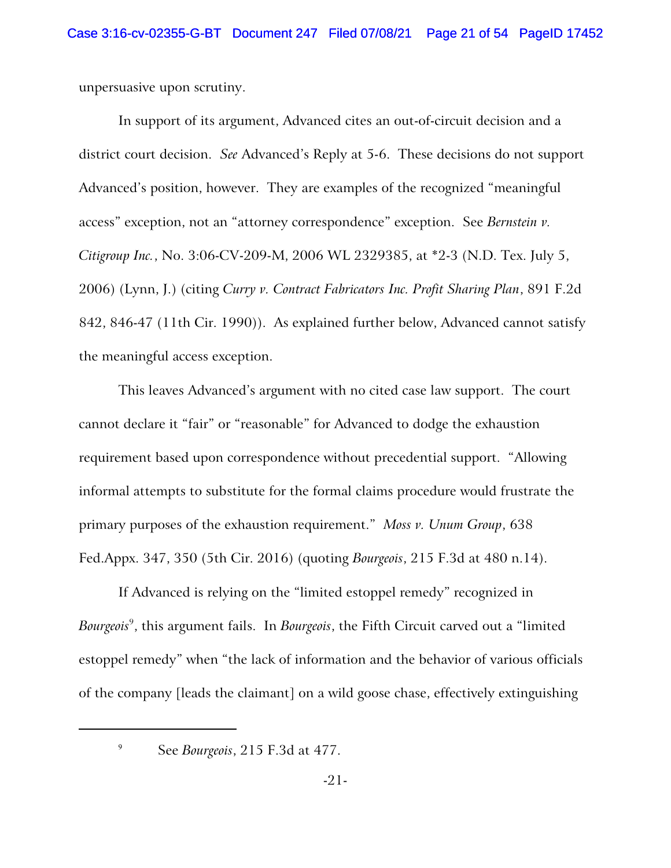unpersuasive upon scrutiny.

In support of its argument, Advanced cites an out-of-circuit decision and a district court decision. *See* Advanced's Reply at 5-6. These decisions do not support Advanced's position, however. They are examples of the recognized "meaningful access" exception, not an "attorney correspondence" exception. See *Bernstein v. Citigroup Inc.*, No. 3:06-CV-209-M, 2006 WL 2329385, at \*2-3 (N.D. Tex. July 5, 2006) (Lynn, J.) (citing *Curry v. Contract Fabricators Inc. Profit Sharing Plan*, 891 F.2d 842, 846-47 (11th Cir. 1990)). As explained further below, Advanced cannot satisfy the meaningful access exception.

This leaves Advanced's argument with no cited case law support. The court cannot declare it "fair" or "reasonable" for Advanced to dodge the exhaustion requirement based upon correspondence without precedential support. "Allowing informal attempts to substitute for the formal claims procedure would frustrate the primary purposes of the exhaustion requirement." *Moss v. Unum Group*, 638 Fed.Appx. 347, 350 (5th Cir. 2016) (quoting *Bourgeois*, 215 F.3d at 480 n.14).

If Advanced is relying on the "limited estoppel remedy" recognized in *Bourgeois*<sup>9</sup> , this argument fails. In *Bourgeois*, the Fifth Circuit carved out a "limited estoppel remedy" when "the lack of information and the behavior of various officials of the company [leads the claimant] on a wild goose chase, effectively extinguishing

<sup>9</sup> See *Bourgeois*, 215 F.3d at 477.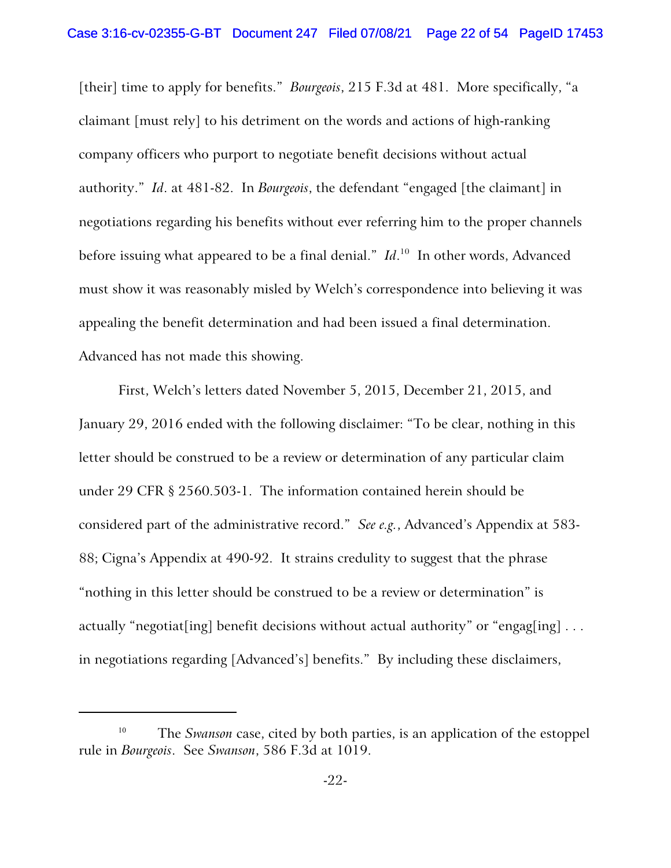[their] time to apply for benefits." *Bourgeois*, 215 F.3d at 481. More specifically, "a claimant [must rely] to his detriment on the words and actions of high-ranking company officers who purport to negotiate benefit decisions without actual authority." *Id*. at 481-82. In *Bourgeois*, the defendant "engaged [the claimant] in negotiations regarding his benefits without ever referring him to the proper channels before issuing what appeared to be a final denial." Id.<sup>10</sup> In other words, Advanced must show it was reasonably misled by Welch's correspondence into believing it was appealing the benefit determination and had been issued a final determination. Advanced has not made this showing.

First, Welch's letters dated November 5, 2015, December 21, 2015, and January 29, 2016 ended with the following disclaimer: "To be clear, nothing in this letter should be construed to be a review or determination of any particular claim under 29 CFR § 2560.503-1. The information contained herein should be considered part of the administrative record." *See e.g.*, Advanced's Appendix at 583- 88; Cigna's Appendix at 490-92. It strains credulity to suggest that the phrase "nothing in this letter should be construed to be a review or determination" is actually "negotiat[ing] benefit decisions without actual authority" or "engag[ing] ... in negotiations regarding [Advanced's] benefits." By including these disclaimers,

<sup>&</sup>lt;sup>10</sup> The *Swanson* case, cited by both parties, is an application of the estoppel rule in *Bourgeois*. See *Swanson*, 586 F.3d at 1019.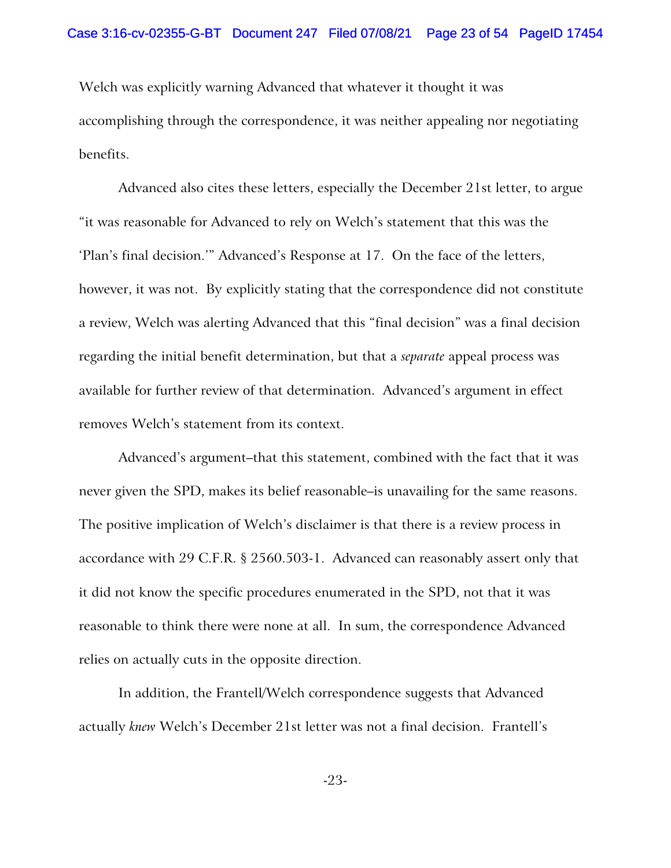Welch was explicitly warning Advanced that whatever it thought it was accomplishing through the correspondence, it was neither appealing nor negotiating benefits.

Advanced also cites these letters, especially the December 21st letter, to argue "it was reasonable for Advanced to rely on Welch's statement that this was the 'Plan's final decision.'" Advanced's Response at 17. On the face of the letters, however, it was not. By explicitly stating that the correspondence did not constitute a review, Welch was alerting Advanced that this "final decision" was a final decision regarding the initial benefit determination, but that a *separate* appeal process was available for further review of that determination. Advanced's argument in effect removes Welch's statement from its context.

Advanced's argument–that this statement, combined with the fact that it was never given the SPD, makes its belief reasonable–is unavailing for the same reasons. The positive implication of Welch's disclaimer is that there is a review process in accordance with 29 C.F.R. § 2560.503-1. Advanced can reasonably assert only that it did not know the specific procedures enumerated in the SPD, not that it was reasonable to think there were none at all. In sum, the correspondence Advanced relies on actually cuts in the opposite direction.

In addition, the Frantell/Welch correspondence suggests that Advanced actually *knew* Welch's December 21st letter was not a final decision. Frantell's

-23-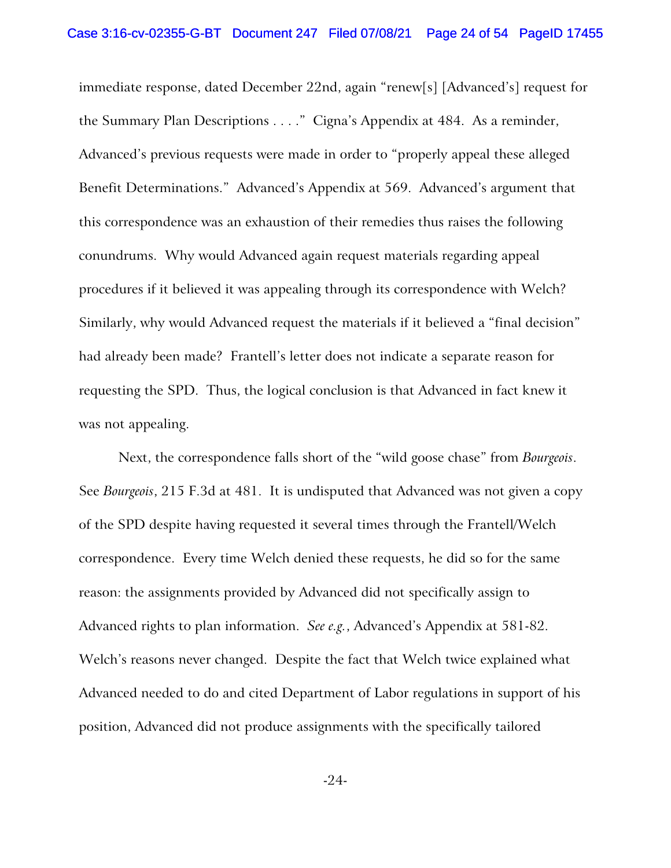immediate response, dated December 22nd, again "renew[s] [Advanced's] request for the Summary Plan Descriptions . . . ." Cigna's Appendix at 484. As a reminder, Advanced's previous requests were made in order to "properly appeal these alleged Benefit Determinations." Advanced's Appendix at 569. Advanced's argument that this correspondence was an exhaustion of their remedies thus raises the following conundrums. Why would Advanced again request materials regarding appeal procedures if it believed it was appealing through its correspondence with Welch? Similarly, why would Advanced request the materials if it believed a "final decision" had already been made? Frantell's letter does not indicate a separate reason for requesting the SPD. Thus, the logical conclusion is that Advanced in fact knew it was not appealing.

Next, the correspondence falls short of the "wild goose chase" from *Bourgeois*. See *Bourgeois*, 215 F.3d at 481. It is undisputed that Advanced was not given a copy of the SPD despite having requested it several times through the Frantell/Welch correspondence. Every time Welch denied these requests, he did so for the same reason: the assignments provided by Advanced did not specifically assign to Advanced rights to plan information. *See e.g.*, Advanced's Appendix at 581-82. Welch's reasons never changed. Despite the fact that Welch twice explained what Advanced needed to do and cited Department of Labor regulations in support of his position, Advanced did not produce assignments with the specifically tailored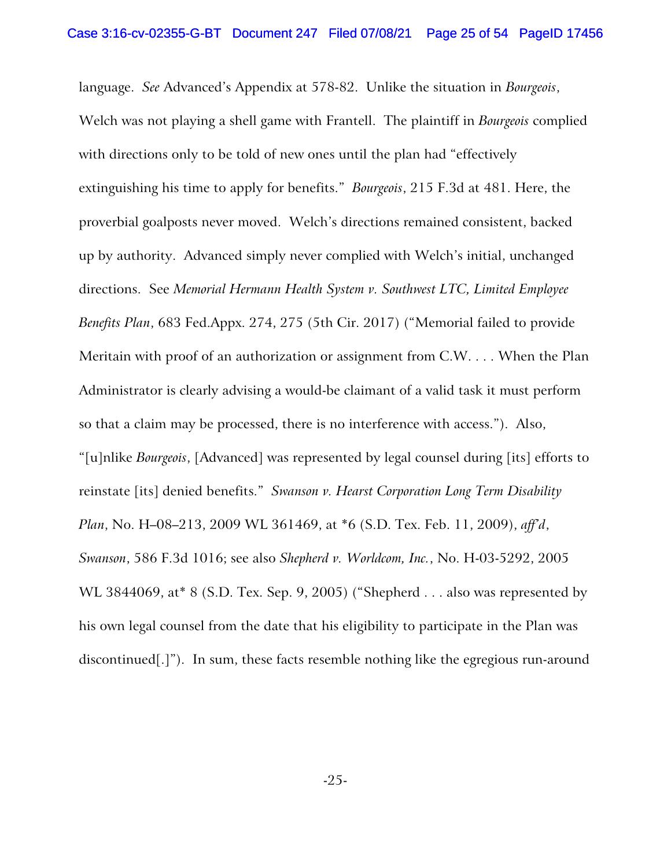language. *See* Advanced's Appendix at 578-82. Unlike the situation in *Bourgeois*, Welch was not playing a shell game with Frantell. The plaintiff in *Bourgeois* complied with directions only to be told of new ones until the plan had "effectively extinguishing his time to apply for benefits." *Bourgeois*, 215 F.3d at 481. Here, the proverbial goalposts never moved. Welch's directions remained consistent, backed up by authority. Advanced simply never complied with Welch's initial, unchanged directions. See *Memorial Hermann Health System v. Southwest LTC, Limited Employee Benefits Plan*, 683 Fed.Appx. 274, 275 (5th Cir. 2017) ("Memorial failed to provide Meritain with proof of an authorization or assignment from C.W. . . . When the Plan Administrator is clearly advising a would-be claimant of a valid task it must perform so that a claim may be processed, there is no interference with access."). Also, "[u]nlike *Bourgeois*, [Advanced] was represented by legal counsel during [its] efforts to reinstate [its] denied benefits." *Swanson v. Hearst Corporation Long Term Disability Plan*, No. H–08–213, 2009 WL 361469, at \*6 (S.D. Tex. Feb. 11, 2009), *aff'd*, *Swanson*, 586 F.3d 1016; see also *Shepherd v. Worldcom, Inc.*, No. H-03-5292, 2005 WL 3844069, at\* 8 (S.D. Tex. Sep. 9, 2005) ("Shepherd . . . also was represented by his own legal counsel from the date that his eligibility to participate in the Plan was discontinued[.]"). In sum, these facts resemble nothing like the egregious run-around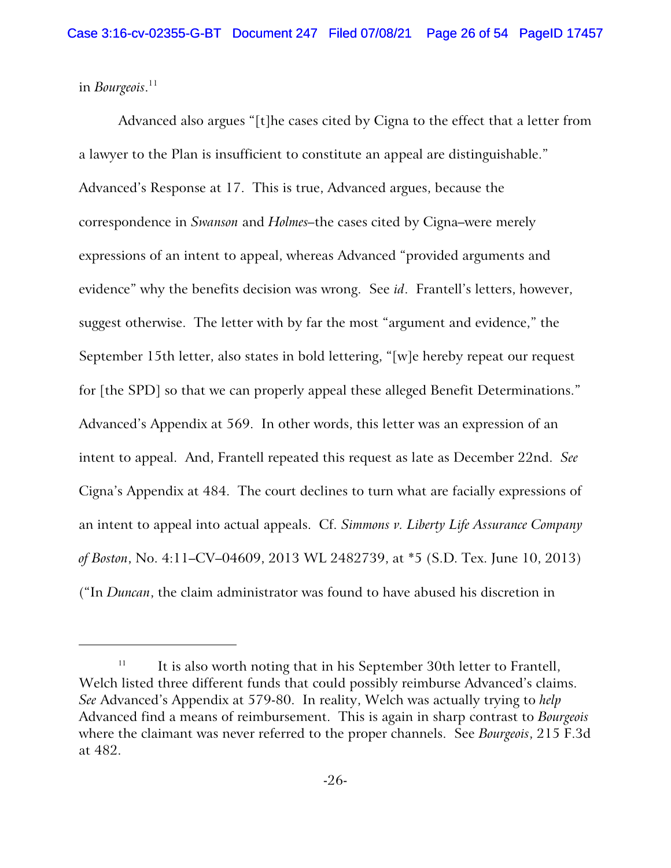in *Bourgeois*. 11

Advanced also argues "[t]he cases cited by Cigna to the effect that a letter from a lawyer to the Plan is insufficient to constitute an appeal are distinguishable." Advanced's Response at 17. This is true, Advanced argues, because the correspondence in *Swanson* and *Holmes–*the cases cited by Cigna–were merely expressions of an intent to appeal, whereas Advanced "provided arguments and evidence" why the benefits decision was wrong. See *id*. Frantell's letters, however, suggest otherwise. The letter with by far the most "argument and evidence," the September 15th letter, also states in bold lettering, "[w]e hereby repeat our request for [the SPD] so that we can properly appeal these alleged Benefit Determinations." Advanced's Appendix at 569. In other words, this letter was an expression of an intent to appeal. And, Frantell repeated this request as late as December 22nd. *See* Cigna's Appendix at 484. The court declines to turn what are facially expressions of an intent to appeal into actual appeals. Cf. *Simmons v. Liberty Life Assurance Company of Boston*, No. 4:11–CV–04609, 2013 WL 2482739, at \*5 (S.D. Tex. June 10, 2013) ("In *Duncan*, the claim administrator was found to have abused his discretion in

<sup>11</sup> It is also worth noting that in his September 30th letter to Frantell, Welch listed three different funds that could possibly reimburse Advanced's claims. *See* Advanced's Appendix at 579-80. In reality, Welch was actually trying to *help* Advanced find a means of reimbursement. This is again in sharp contrast to *Bourgeois* where the claimant was never referred to the proper channels. See *Bourgeois*, 215 F.3d at 482.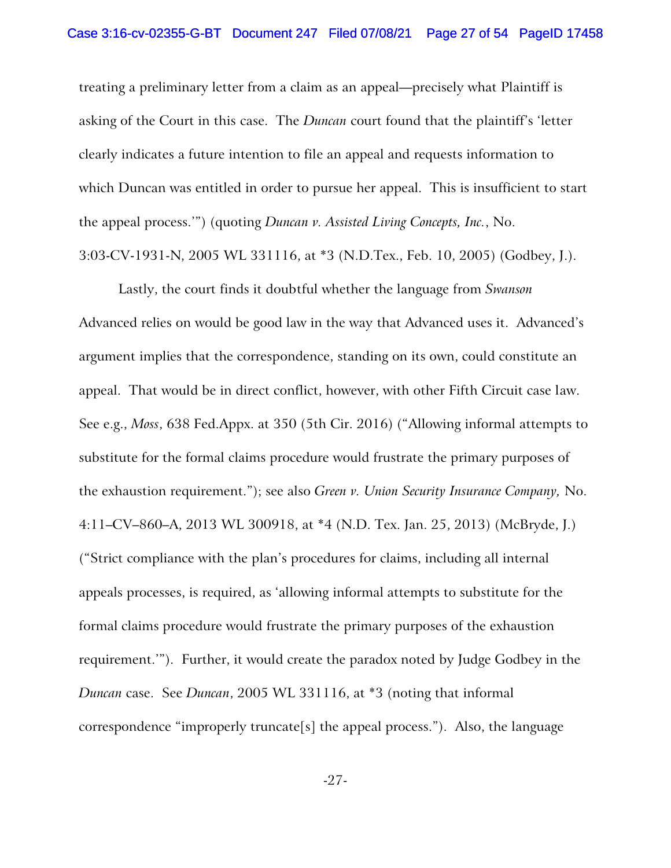treating a preliminary letter from a claim as an appeal—precisely what Plaintiff is asking of the Court in this case. The *Duncan* court found that the plaintiff's 'letter clearly indicates a future intention to file an appeal and requests information to which Duncan was entitled in order to pursue her appeal. This is insufficient to start the appeal process.'") (quoting *Duncan v. Assisted Living Concepts, Inc.*, No. 3:03-CV-1931-N, 2005 WL 331116, at \*3 (N.D.Tex., Feb. 10, 2005) (Godbey, J.).

Lastly, the court finds it doubtful whether the language from *Swanson* Advanced relies on would be good law in the way that Advanced uses it. Advanced's argument implies that the correspondence, standing on its own, could constitute an appeal. That would be in direct conflict, however, with other Fifth Circuit case law. See e.g., *Moss*, 638 Fed.Appx. at 350 (5th Cir. 2016) ("Allowing informal attempts to substitute for the formal claims procedure would frustrate the primary purposes of the exhaustion requirement."); see also *Green v. Union Security Insurance Company,* No. 4:11–CV–860–A, 2013 WL 300918, at \*4 (N.D. Tex. Jan. 25, 2013) (McBryde, J.) ("Strict compliance with the plan's procedures for claims, including all internal appeals processes, is required, as 'allowing informal attempts to substitute for the formal claims procedure would frustrate the primary purposes of the exhaustion requirement.'"). Further, it would create the paradox noted by Judge Godbey in the *Duncan* case. See *Duncan*, 2005 WL 331116, at \*3 (noting that informal correspondence "improperly truncate[s] the appeal process."). Also, the language

-27-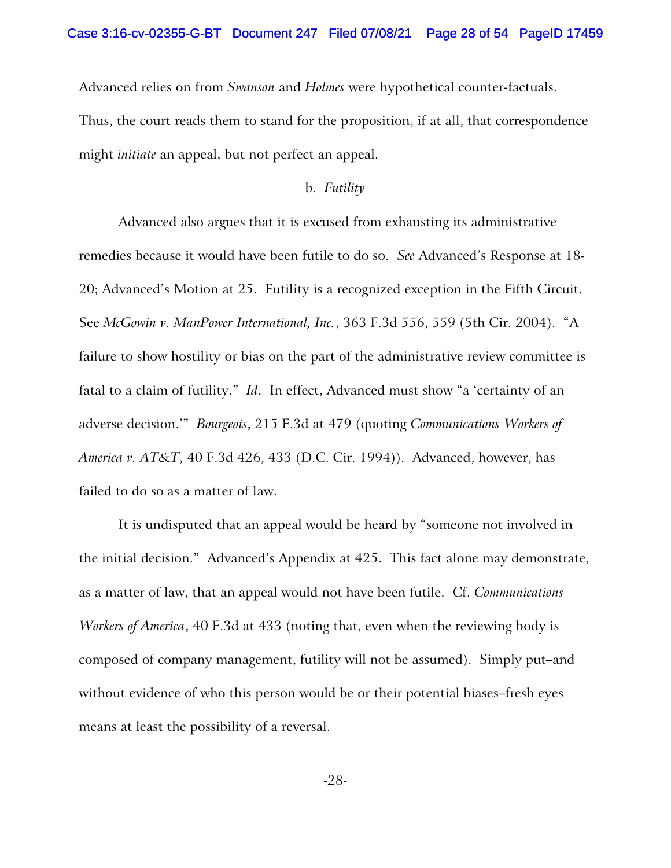Advanced relies on from *Swanson* and *Holmes* were hypothetical counter-factuals.

Thus, the court reads them to stand for the proposition, if at all, that correspondence might *initiate* an appeal, but not perfect an appeal.

### b. *Futility*

Advanced also argues that it is excused from exhausting its administrative remedies because it would have been futile to do so. *See* Advanced's Response at 18- 20; Advanced's Motion at 25. Futility is a recognized exception in the Fifth Circuit. See *McGowin v. ManPower International, Inc.*, 363 F.3d 556, 559 (5th Cir. 2004). "A failure to show hostility or bias on the part of the administrative review committee is fatal to a claim of futility." *Id*. In effect, Advanced must show "a 'certainty of an adverse decision.'" *Bourgeois*, 215 F.3d at 479 (quoting *Communications Workers of America v. AT&T*, 40 F.3d 426, 433 (D.C. Cir. 1994)). Advanced, however, has failed to do so as a matter of law.

It is undisputed that an appeal would be heard by "someone not involved in the initial decision." Advanced's Appendix at 425. This fact alone may demonstrate, as a matter of law, that an appeal would not have been futile. Cf. *Communications Workers of America*, 40 F.3d at 433 (noting that, even when the reviewing body is composed of company management, futility will not be assumed). Simply put–and without evidence of who this person would be or their potential biases–fresh eyes means at least the possibility of a reversal.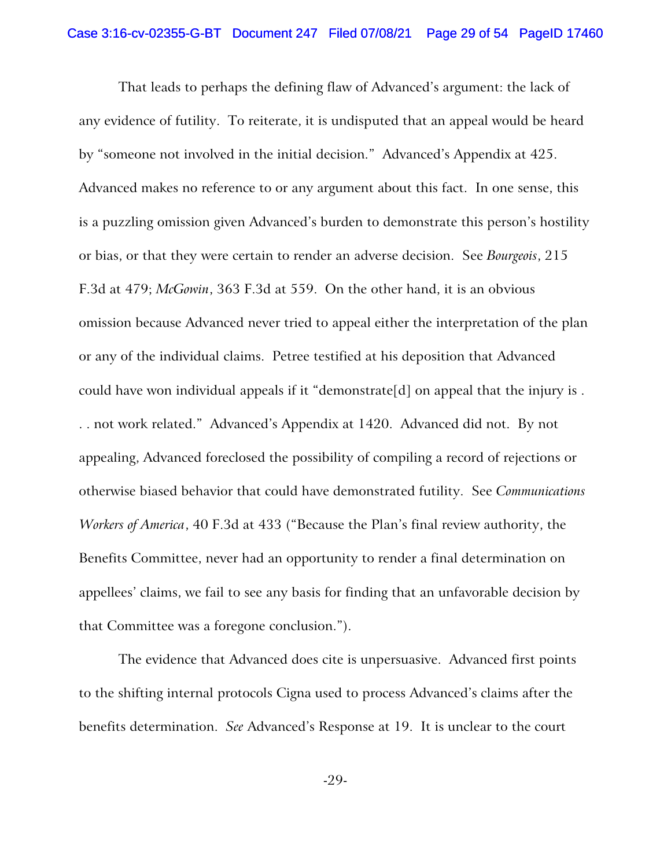That leads to perhaps the defining flaw of Advanced's argument: the lack of any evidence of futility. To reiterate, it is undisputed that an appeal would be heard by "someone not involved in the initial decision." Advanced's Appendix at 425. Advanced makes no reference to or any argument about this fact. In one sense, this is a puzzling omission given Advanced's burden to demonstrate this person's hostility or bias, or that they were certain to render an adverse decision. See *Bourgeois*, 215 F.3d at 479; *McGowin*, 363 F.3d at 559. On the other hand, it is an obvious omission because Advanced never tried to appeal either the interpretation of the plan or any of the individual claims. Petree testified at his deposition that Advanced could have won individual appeals if it "demonstrate[d] on appeal that the injury is . . . not work related." Advanced's Appendix at 1420. Advanced did not. By not appealing, Advanced foreclosed the possibility of compiling a record of rejections or otherwise biased behavior that could have demonstrated futility. See *Communications Workers of America*, 40 F.3d at 433 ("Because the Plan's final review authority, the Benefits Committee, never had an opportunity to render a final determination on appellees' claims, we fail to see any basis for finding that an unfavorable decision by that Committee was a foregone conclusion.").

The evidence that Advanced does cite is unpersuasive. Advanced first points to the shifting internal protocols Cigna used to process Advanced's claims after the benefits determination. *See* Advanced's Response at 19. It is unclear to the court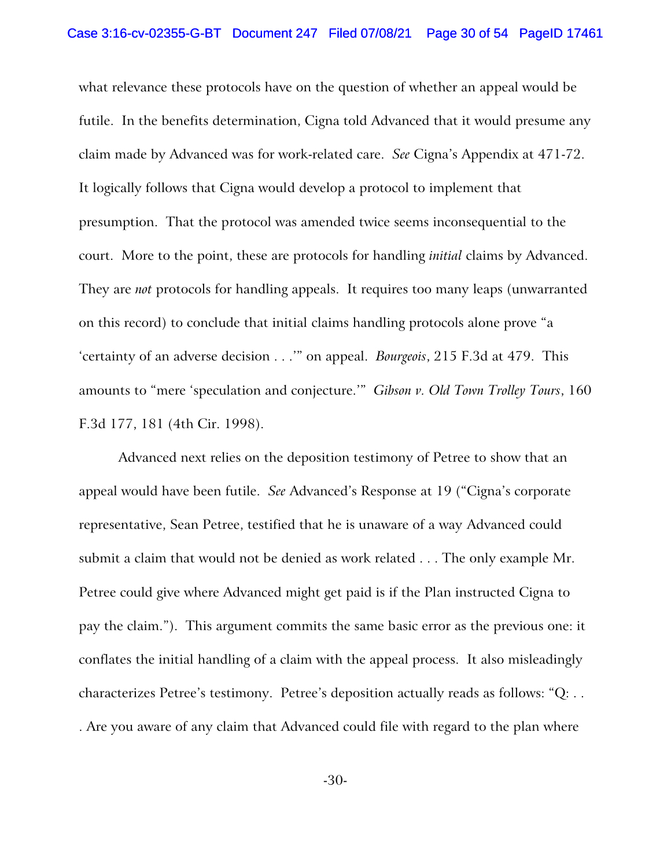what relevance these protocols have on the question of whether an appeal would be futile. In the benefits determination, Cigna told Advanced that it would presume any claim made by Advanced was for work-related care. *See* Cigna's Appendix at 471-72. It logically follows that Cigna would develop a protocol to implement that presumption. That the protocol was amended twice seems inconsequential to the court. More to the point, these are protocols for handling *initial* claims by Advanced. They are *not* protocols for handling appeals. It requires too many leaps (unwarranted on this record) to conclude that initial claims handling protocols alone prove "a 'certainty of an adverse decision . . .'" on appeal. *Bourgeois*, 215 F.3d at 479. This amounts to "mere 'speculation and conjecture.'" *Gibson v. Old Town Trolley Tours*, 160 F.3d 177, 181 (4th Cir. 1998).

Advanced next relies on the deposition testimony of Petree to show that an appeal would have been futile. *See* Advanced's Response at 19 ("Cigna's corporate representative, Sean Petree, testified that he is unaware of a way Advanced could submit a claim that would not be denied as work related . . . The only example Mr. Petree could give where Advanced might get paid is if the Plan instructed Cigna to pay the claim."). This argument commits the same basic error as the previous one: it conflates the initial handling of a claim with the appeal process. It also misleadingly characterizes Petree's testimony. Petree's deposition actually reads as follows: "Q: . . . Are you aware of any claim that Advanced could file with regard to the plan where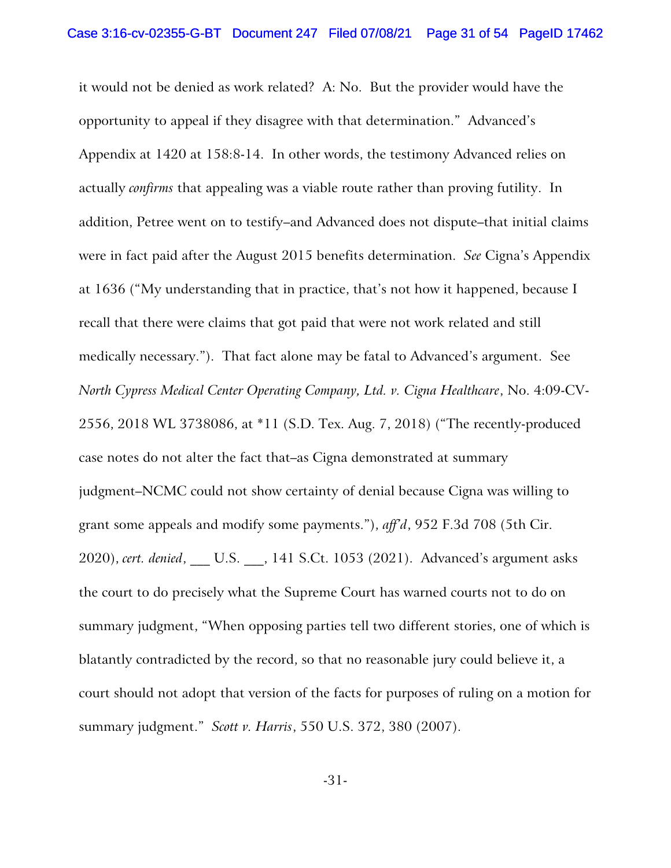it would not be denied as work related? A: No. But the provider would have the opportunity to appeal if they disagree with that determination." Advanced's Appendix at 1420 at 158:8-14. In other words, the testimony Advanced relies on actually *confirms* that appealing was a viable route rather than proving futility. In addition, Petree went on to testify–and Advanced does not dispute–that initial claims were in fact paid after the August 2015 benefits determination. *See* Cigna's Appendix at 1636 ("My understanding that in practice, that's not how it happened, because I recall that there were claims that got paid that were not work related and still medically necessary."). That fact alone may be fatal to Advanced's argument. See *North Cypress Medical Center Operating Company, Ltd. v. Cigna Healthcare*, No. 4:09-CV-2556, 2018 WL 3738086, at \*11 (S.D. Tex. Aug. 7, 2018) ("The recently-produced case notes do not alter the fact that–as Cigna demonstrated at summary judgment–NCMC could not show certainty of denial because Cigna was willing to grant some appeals and modify some payments."), *aff'd*, 952 F.3d 708 (5th Cir. 2020), *cert. denied*, \_\_\_ U.S. \_\_\_, 141 S.Ct. 1053 (2021). Advanced's argument asks the court to do precisely what the Supreme Court has warned courts not to do on summary judgment, "When opposing parties tell two different stories, one of which is blatantly contradicted by the record, so that no reasonable jury could believe it, a court should not adopt that version of the facts for purposes of ruling on a motion for summary judgment." *Scott v. Harris*, 550 U.S. 372, 380 (2007).

-31-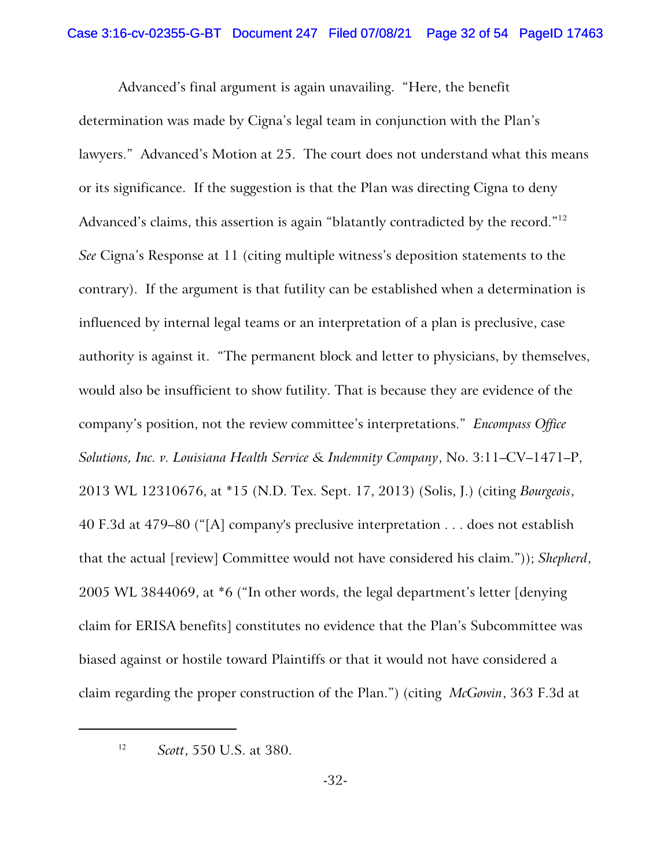Advanced's final argument is again unavailing. "Here, the benefit determination was made by Cigna's legal team in conjunction with the Plan's lawyers." Advanced's Motion at 25. The court does not understand what this means or its significance. If the suggestion is that the Plan was directing Cigna to deny Advanced's claims, this assertion is again "blatantly contradicted by the record."<sup>12</sup> *See* Cigna's Response at 11 (citing multiple witness's deposition statements to the contrary). If the argument is that futility can be established when a determination is influenced by internal legal teams or an interpretation of a plan is preclusive, case authority is against it. "The permanent block and letter to physicians, by themselves, would also be insufficient to show futility. That is because they are evidence of the company's position, not the review committee's interpretations." *Encompass Office Solutions, Inc. v. Louisiana Health Service & Indemnity Company*, No. 3:11–CV–1471–P, 2013 WL 12310676, at \*15 (N.D. Tex. Sept. 17, 2013) (Solis, J.) (citing *Bourgeois*, 40 F.3d at 479–80 ("[A] company's preclusive interpretation . . . does not establish that the actual [review] Committee would not have considered his claim.")); *Shepherd*, 2005 WL 3844069, at \*6 ("In other words, the legal department's letter [denying claim for ERISA benefits] constitutes no evidence that the Plan's Subcommittee was biased against or hostile toward Plaintiffs or that it would not have considered a claim regarding the proper construction of the Plan.") (citing *McGowin*, 363 F.3d at

<sup>12</sup> *Scott*, 550 U.S. at 380.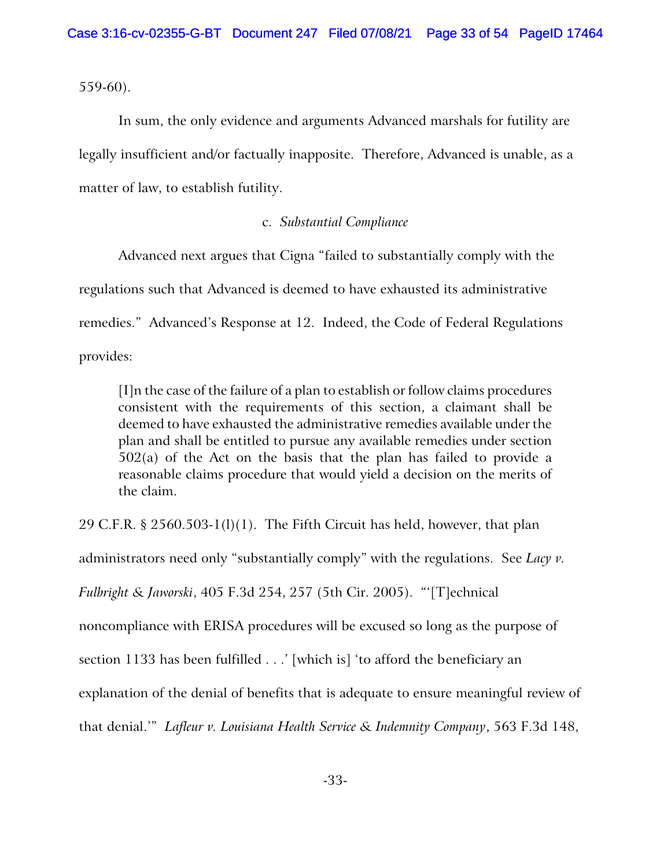559-60).

In sum, the only evidence and arguments Advanced marshals for futility are legally insufficient and/or factually inapposite. Therefore, Advanced is unable, as a matter of law, to establish futility.

## c. *Substantial Compliance*

Advanced next argues that Cigna "failed to substantially comply with the regulations such that Advanced is deemed to have exhausted its administrative remedies." Advanced's Response at 12. Indeed, the Code of Federal Regulations provides:

[I]n the case of the failure of a plan to establish or follow claims procedures consistent with the requirements of this section, a claimant shall be deemed to have exhausted the administrative remedies available under the plan and shall be entitled to pursue any available remedies under section 502(a) of the Act on the basis that the plan has failed to provide a reasonable claims procedure that would yield a decision on the merits of the claim.

29 C.F.R. § 2560.503-1(1)(1). The Fifth Circuit has held, however, that plan administrators need only "substantially comply" with the regulations. See *Lacy v. Fulbright & Jaworski*, 405 F.3d 254, 257 (5th Cir. 2005). "'[T]echnical noncompliance with ERISA procedures will be excused so long as the purpose of section 1133 has been fulfilled . . .' [which is] 'to afford the beneficiary an explanation of the denial of benefits that is adequate to ensure meaningful review of that denial.'" *Lafleur v. Louisiana Health Service & Indemnity Company*, 563 F.3d 148,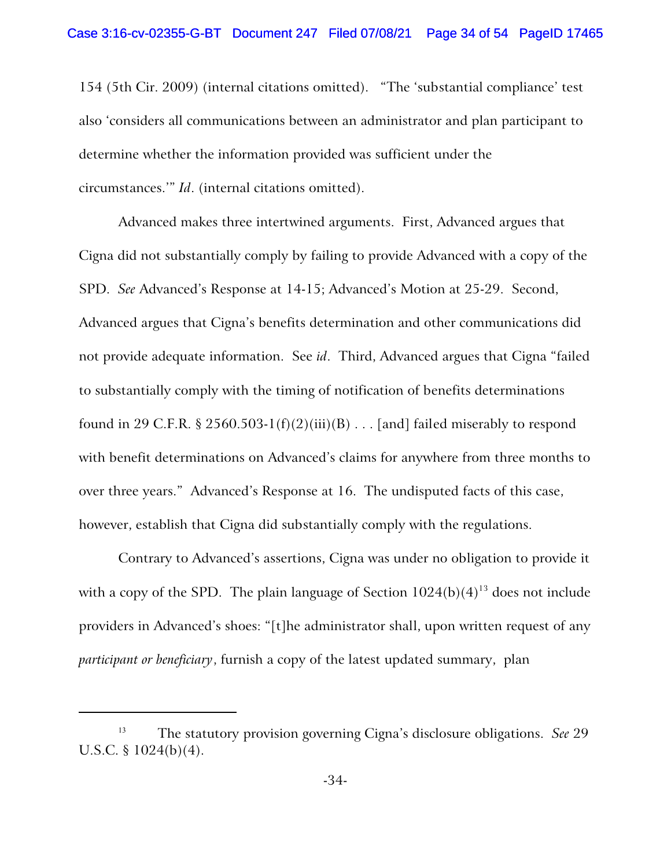154 (5th Cir. 2009) (internal citations omitted). "The 'substantial compliance' test also 'considers all communications between an administrator and plan participant to determine whether the information provided was sufficient under the circumstances.'" *Id*. (internal citations omitted).

Advanced makes three intertwined arguments. First, Advanced argues that Cigna did not substantially comply by failing to provide Advanced with a copy of the SPD. *See* Advanced's Response at 14-15; Advanced's Motion at 25-29. Second, Advanced argues that Cigna's benefits determination and other communications did not provide adequate information. See *id*. Third, Advanced argues that Cigna "failed to substantially comply with the timing of notification of benefits determinations found in 29 C.F.R. § 2560.503-1(f)(2)(iii)(B) . . . [and] failed miserably to respond with benefit determinations on Advanced's claims for anywhere from three months to over three years." Advanced's Response at 16. The undisputed facts of this case, however, establish that Cigna did substantially comply with the regulations.

Contrary to Advanced's assertions, Cigna was under no obligation to provide it with a copy of the SPD. The plain language of Section  $1024(b)(4)^{13}$  does not include providers in Advanced's shoes: "[t]he administrator shall, upon written request of any *participant or beneficiary*, furnish a copy of the latest updated summary, plan

<sup>13</sup> The statutory provision governing Cigna's disclosure obligations. *See* 29 U.S.C. § 1024(b)(4).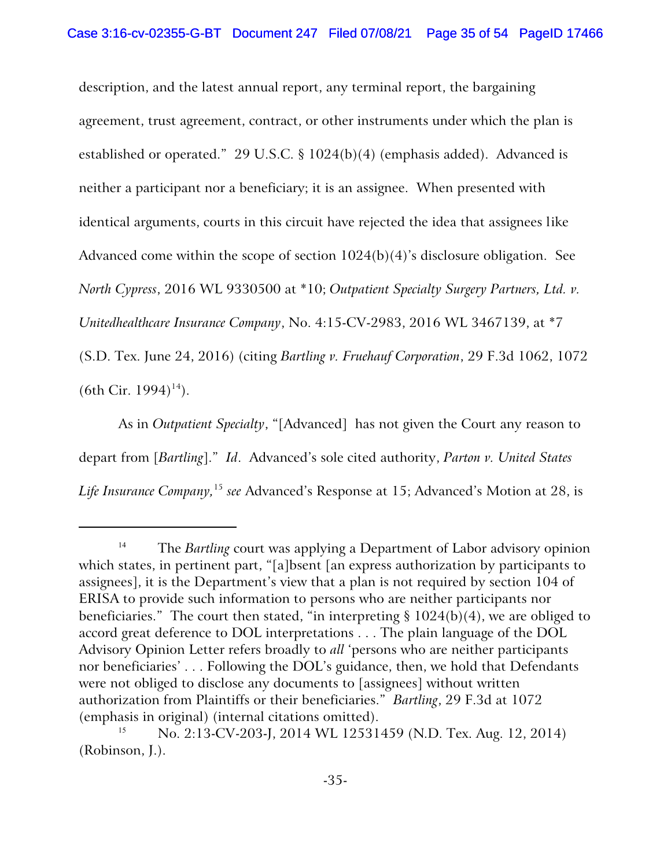description, and the latest annual report, any terminal report, the bargaining agreement, trust agreement, contract, or other instruments under which the plan is established or operated." 29 U.S.C. § 1024(b)(4) (emphasis added). Advanced is neither a participant nor a beneficiary; it is an assignee. When presented with identical arguments, courts in this circuit have rejected the idea that assignees like Advanced come within the scope of section 1024(b)(4)'s disclosure obligation. See *North Cypress*, 2016 WL 9330500 at \*10; *Outpatient Specialty Surgery Partners, Ltd. v. Unitedhealthcare Insurance Company*, No. 4:15-CV-2983, 2016 WL 3467139, at \*7 (S.D. Tex. June 24, 2016) (citing *Bartling v. Fruehauf Corporation*, 29 F.3d 1062, 1072  $(6th Cir. 1994)^{14}$ ).

As in *Outpatient Specialty*, "[Advanced] has not given the Court any reason to depart from [*Bartling*]." *Id*. Advanced's sole cited authority, *Parton v. United States Life Insurance Company,*<sup>15</sup> *see* Advanced's Response at 15; Advanced's Motion at 28, is

<sup>&</sup>lt;sup>14</sup> The *Bartling* court was applying a Department of Labor advisory opinion which states, in pertinent part, "[a]bsent [an express authorization by participants to assignees], it is the Department's view that a plan is not required by section 104 of ERISA to provide such information to persons who are neither participants nor beneficiaries." The court then stated, "in interpreting  $\S 1024(b)(4)$ , we are obliged to accord great deference to DOL interpretations . . . The plain language of the DOL Advisory Opinion Letter refers broadly to *all* 'persons who are neither participants nor beneficiaries' . . . Following the DOL's guidance, then, we hold that Defendants were not obliged to disclose any documents to [assignees] without written authorization from Plaintiffs or their beneficiaries." *Bartling*, 29 F.3d at 1072 (emphasis in original) (internal citations omitted).

<sup>15</sup> No. 2:13-CV-203-J, 2014 WL 12531459 (N.D. Tex. Aug. 12, 2014) (Robinson, J.).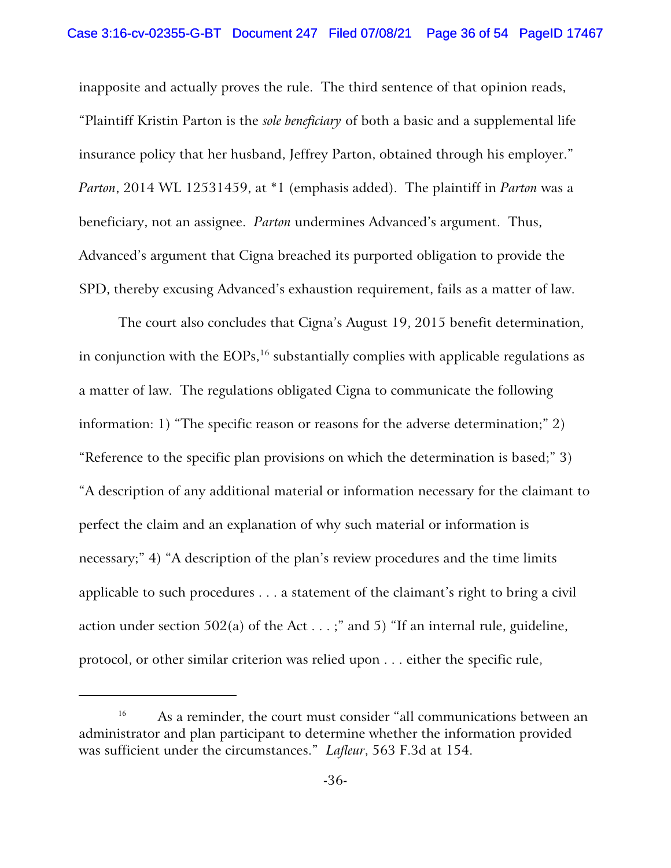inapposite and actually proves the rule. The third sentence of that opinion reads, "Plaintiff Kristin Parton is the *sole beneficiary* of both a basic and a supplemental life insurance policy that her husband, Jeffrey Parton, obtained through his employer." *Parton*, 2014 WL 12531459, at \*1 (emphasis added). The plaintiff in *Parton* was a beneficiary, not an assignee. *Parton* undermines Advanced's argument. Thus, Advanced's argument that Cigna breached its purported obligation to provide the SPD, thereby excusing Advanced's exhaustion requirement, fails as a matter of law.

The court also concludes that Cigna's August 19, 2015 benefit determination, in conjunction with the  $\mathrm{EOPs},^{16}$  substantially complies with applicable regulations as a matter of law. The regulations obligated Cigna to communicate the following information: 1) "The specific reason or reasons for the adverse determination;" 2) "Reference to the specific plan provisions on which the determination is based;" 3) "A description of any additional material or information necessary for the claimant to perfect the claim and an explanation of why such material or information is necessary;" 4) "A description of the plan's review procedures and the time limits applicable to such procedures . . . a statement of the claimant's right to bring a civil action under section 502(a) of the Act  $\dots$ ;" and 5) "If an internal rule, guideline, protocol, or other similar criterion was relied upon . . . either the specific rule,

<sup>&</sup>lt;sup>16</sup> As a reminder, the court must consider "all communications between an administrator and plan participant to determine whether the information provided was sufficient under the circumstances." *Lafleur*, 563 F.3d at 154.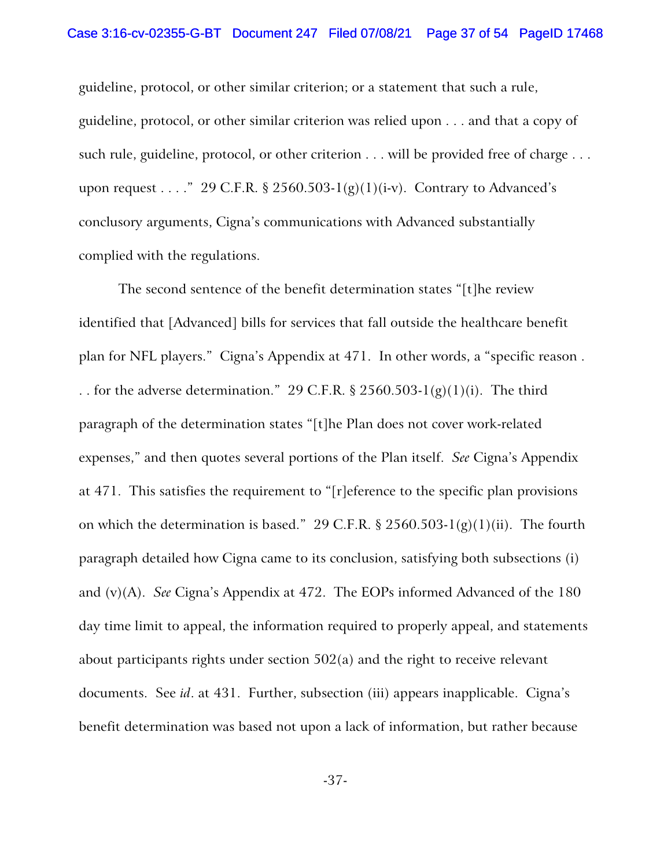guideline, protocol, or other similar criterion; or a statement that such a rule, guideline, protocol, or other similar criterion was relied upon . . . and that a copy of such rule, guideline, protocol, or other criterion . . . will be provided free of charge . . . upon request . . . ." 29 C.F.R. § 2560.503-1(g)(1)(i-v). Contrary to Advanced's conclusory arguments, Cigna's communications with Advanced substantially complied with the regulations.

The second sentence of the benefit determination states "[t]he review identified that [Advanced] bills for services that fall outside the healthcare benefit plan for NFL players." Cigna's Appendix at 471. In other words, a "specific reason . . . for the adverse determination." 29 C.F.R.  $\S 2560.503-I(g)(1)(i)$ . The third paragraph of the determination states "[t]he Plan does not cover work-related expenses," and then quotes several portions of the Plan itself. *See* Cigna's Appendix at 471. This satisfies the requirement to "[r]eference to the specific plan provisions on which the determination is based." 29 C.F.R. § 2560.503-1(g)(1)(ii). The fourth paragraph detailed how Cigna came to its conclusion, satisfying both subsections (i) and (v)(A). *See* Cigna's Appendix at 472. The EOPs informed Advanced of the 180 day time limit to appeal, the information required to properly appeal, and statements about participants rights under section 502(a) and the right to receive relevant documents. See *id*. at 431. Further, subsection (iii) appears inapplicable. Cigna's benefit determination was based not upon a lack of information, but rather because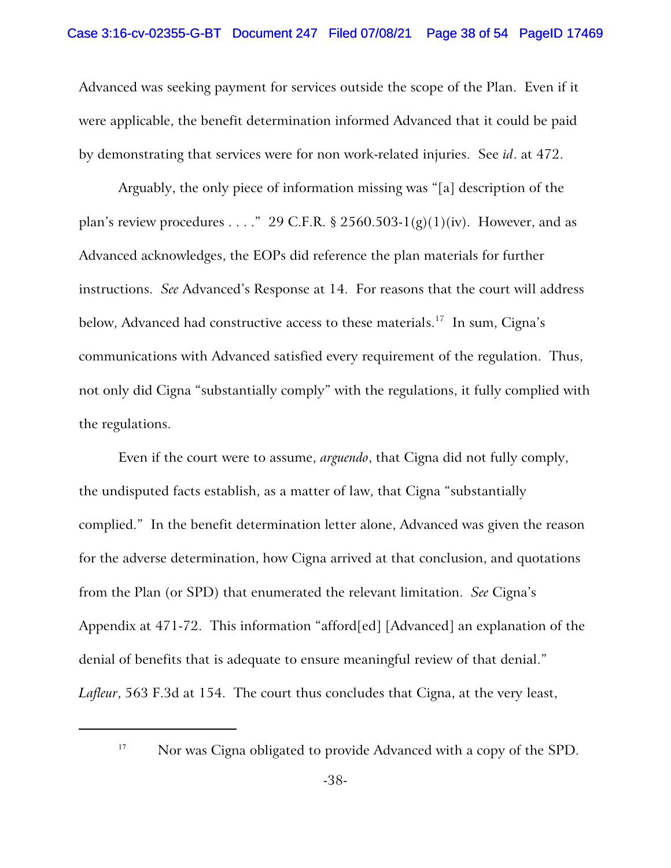Advanced was seeking payment for services outside the scope of the Plan. Even if it were applicable, the benefit determination informed Advanced that it could be paid by demonstrating that services were for non work-related injuries. See *id*. at 472.

Arguably, the only piece of information missing was "[a] description of the plan's review procedures . . . ." 29 C.F.R. § 2560.503-1(g)(1)(iv). However, and as Advanced acknowledges, the EOPs did reference the plan materials for further instructions. *See* Advanced's Response at 14. For reasons that the court will address below, Advanced had constructive access to these materials.<sup>17</sup> In sum, Cigna's communications with Advanced satisfied every requirement of the regulation. Thus, not only did Cigna "substantially comply" with the regulations, it fully complied with the regulations.

Even if the court were to assume, *arguendo*, that Cigna did not fully comply, the undisputed facts establish, as a matter of law, that Cigna "substantially complied." In the benefit determination letter alone, Advanced was given the reason for the adverse determination, how Cigna arrived at that conclusion, and quotations from the Plan (or SPD) that enumerated the relevant limitation. *See* Cigna's Appendix at 471-72. This information "afford[ed] [Advanced] an explanation of the denial of benefits that is adequate to ensure meaningful review of that denial." *Lafleur*, 563 F.3d at 154. The court thus concludes that Cigna, at the very least,

<sup>&</sup>lt;sup>17</sup> Nor was Cigna obligated to provide Advanced with a copy of the SPD.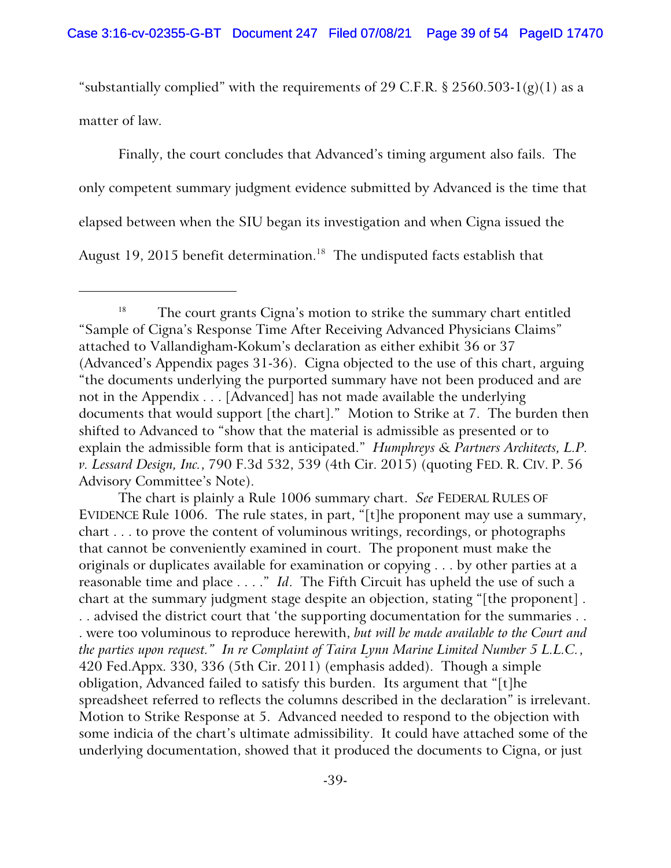"substantially complied" with the requirements of 29 C.F.R. § 2560.503-1(g)(1) as a matter of law.

Finally, the court concludes that Advanced's timing argument also fails. The only competent summary judgment evidence submitted by Advanced is the time that elapsed between when the SIU began its investigation and when Cigna issued the August 19, 2015 benefit determination.<sup>18</sup> The undisputed facts establish that

The chart is plainly a Rule 1006 summary chart. *See* FEDERAL RULES OF EVIDENCE Rule 1006. The rule states, in part, "[t]he proponent may use a summary, chart . . . to prove the content of voluminous writings, recordings, or photographs that cannot be conveniently examined in court. The proponent must make the originals or duplicates available for examination or copying . . . by other parties at a reasonable time and place . . . ." *Id*. The Fifth Circuit has upheld the use of such a chart at the summary judgment stage despite an objection, stating "[the proponent] . . . advised the district court that 'the supporting documentation for the summaries . . . were too voluminous to reproduce herewith, *but will be made available to the Court and the parties upon request." In re Complaint of Taira Lynn Marine Limited Number 5 L.L.C.*, 420 Fed.Appx. 330, 336 (5th Cir. 2011) (emphasis added). Though a simple obligation, Advanced failed to satisfy this burden. Its argument that "[t]he spreadsheet referred to reflects the columns described in the declaration" is irrelevant. Motion to Strike Response at 5. Advanced needed to respond to the objection with some indicia of the chart's ultimate admissibility. It could have attached some of the underlying documentation, showed that it produced the documents to Cigna, or just

<sup>&</sup>lt;sup>18</sup> The court grants Cigna's motion to strike the summary chart entitled "Sample of Cigna's Response Time After Receiving Advanced Physicians Claims" attached to Vallandigham-Kokum's declaration as either exhibit 36 or 37 (Advanced's Appendix pages 31-36). Cigna objected to the use of this chart, arguing "the documents underlying the purported summary have not been produced and are not in the Appendix . . . [Advanced] has not made available the underlying documents that would support [the chart]." Motion to Strike at 7. The burden then shifted to Advanced to "show that the material is admissible as presented or to explain the admissible form that is anticipated." *Humphreys & Partners Architects, L.P. v. Lessard Design, Inc.*, 790 F.3d 532, 539 (4th Cir. 2015) (quoting FED. R. CIV. P. 56 Advisory Committee's Note).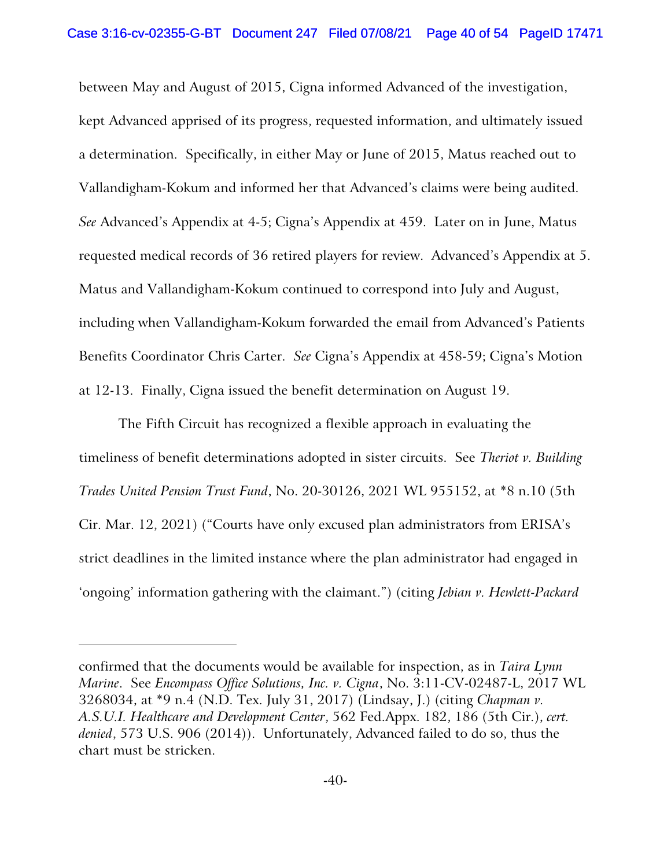between May and August of 2015, Cigna informed Advanced of the investigation, kept Advanced apprised of its progress, requested information, and ultimately issued a determination. Specifically, in either May or June of 2015, Matus reached out to Vallandigham-Kokum and informed her that Advanced's claims were being audited. *See* Advanced's Appendix at 4-5; Cigna's Appendix at 459. Later on in June, Matus requested medical records of 36 retired players for review. Advanced's Appendix at 5. Matus and Vallandigham-Kokum continued to correspond into July and August, including when Vallandigham-Kokum forwarded the email from Advanced's Patients Benefits Coordinator Chris Carter. *See* Cigna's Appendix at 458-59; Cigna's Motion at 12-13. Finally, Cigna issued the benefit determination on August 19.

The Fifth Circuit has recognized a flexible approach in evaluating the timeliness of benefit determinations adopted in sister circuits. See *Theriot v. Building Trades United Pension Trust Fund*, No. 20-30126, 2021 WL 955152, at \*8 n.10 (5th Cir. Mar. 12, 2021) ("Courts have only excused plan administrators from ERISA's strict deadlines in the limited instance where the plan administrator had engaged in 'ongoing' information gathering with the claimant.") (citing *Jebian v. Hewlett-Packard*

confirmed that the documents would be available for inspection, as in *Taira Lynn Marine*. See *Encompass Office Solutions, Inc. v. Cigna*, No. 3:11-CV-02487-L, 2017 WL 3268034, at \*9 n.4 (N.D. Tex. July 31, 2017) (Lindsay, J.) (citing *Chapman v. A.S.U.I. Healthcare and Development Center*, 562 Fed.Appx. 182, 186 (5th Cir.), *cert. denied*, 573 U.S. 906 (2014)). Unfortunately, Advanced failed to do so, thus the chart must be stricken.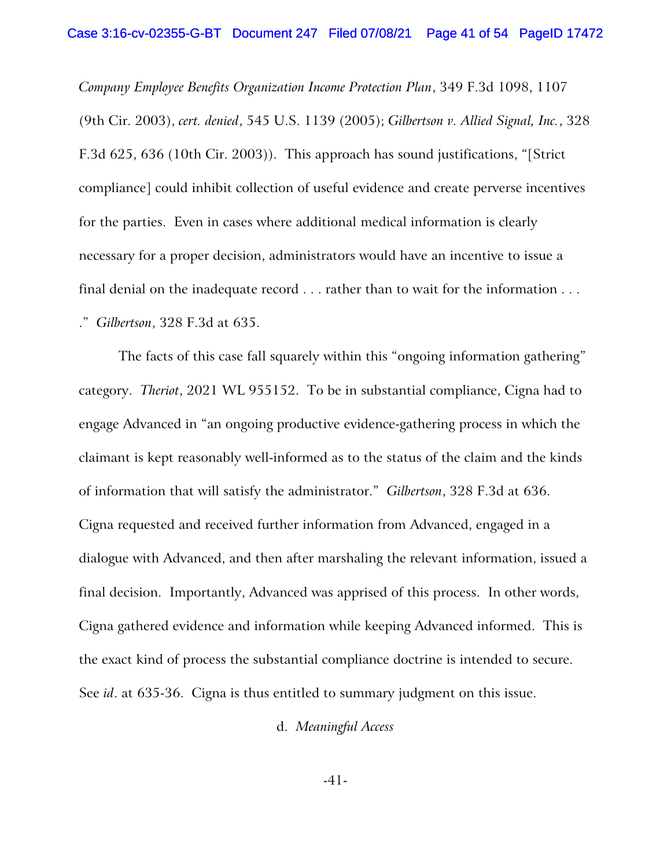*Company Employee Benefits Organization Income Protection Plan*, 349 F.3d 1098, 1107 (9th Cir. 2003), *cert. denied*, 545 U.S. 1139 (2005); *Gilbertson v. Allied Signal, Inc.*, 328 F.3d 625, 636 (10th Cir. 2003)). This approach has sound justifications, "[Strict compliance] could inhibit collection of useful evidence and create perverse incentives for the parties. Even in cases where additional medical information is clearly necessary for a proper decision, administrators would have an incentive to issue a final denial on the inadequate record . . . rather than to wait for the information . . . ." *Gilbertson*, 328 F.3d at 635.

The facts of this case fall squarely within this "ongoing information gathering" category. *Theriot*, 2021 WL 955152. To be in substantial compliance, Cigna had to engage Advanced in "an ongoing productive evidence-gathering process in which the claimant is kept reasonably well-informed as to the status of the claim and the kinds of information that will satisfy the administrator." *Gilbertson*, 328 F.3d at 636. Cigna requested and received further information from Advanced, engaged in a dialogue with Advanced, and then after marshaling the relevant information, issued a final decision. Importantly, Advanced was apprised of this process. In other words, Cigna gathered evidence and information while keeping Advanced informed. This is the exact kind of process the substantial compliance doctrine is intended to secure. See *id*. at 635-36. Cigna is thus entitled to summary judgment on this issue.

d. *Meaningful Access*

-41-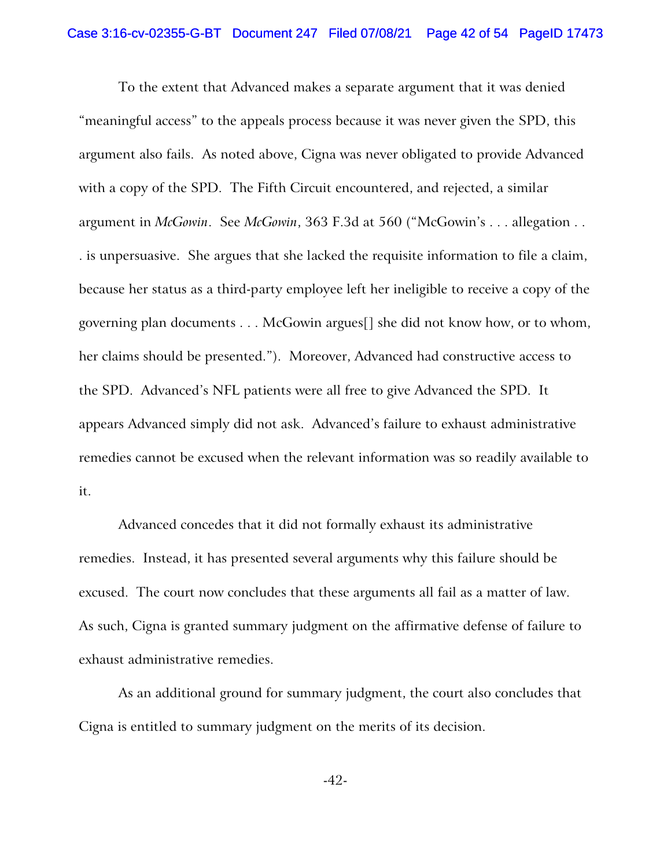To the extent that Advanced makes a separate argument that it was denied "meaningful access" to the appeals process because it was never given the SPD, this argument also fails. As noted above, Cigna was never obligated to provide Advanced with a copy of the SPD. The Fifth Circuit encountered, and rejected, a similar argument in *McGowin*. See *McGowin*, 363 F.3d at 560 ("McGowin's . . . allegation . . . is unpersuasive. She argues that she lacked the requisite information to file a claim, because her status as a third-party employee left her ineligible to receive a copy of the governing plan documents . . . McGowin argues[] she did not know how, or to whom, her claims should be presented."). Moreover, Advanced had constructive access to the SPD. Advanced's NFL patients were all free to give Advanced the SPD. It appears Advanced simply did not ask. Advanced's failure to exhaust administrative remedies cannot be excused when the relevant information was so readily available to it.

Advanced concedes that it did not formally exhaust its administrative remedies. Instead, it has presented several arguments why this failure should be excused. The court now concludes that these arguments all fail as a matter of law. As such, Cigna is granted summary judgment on the affirmative defense of failure to exhaust administrative remedies.

As an additional ground for summary judgment, the court also concludes that Cigna is entitled to summary judgment on the merits of its decision.

-42-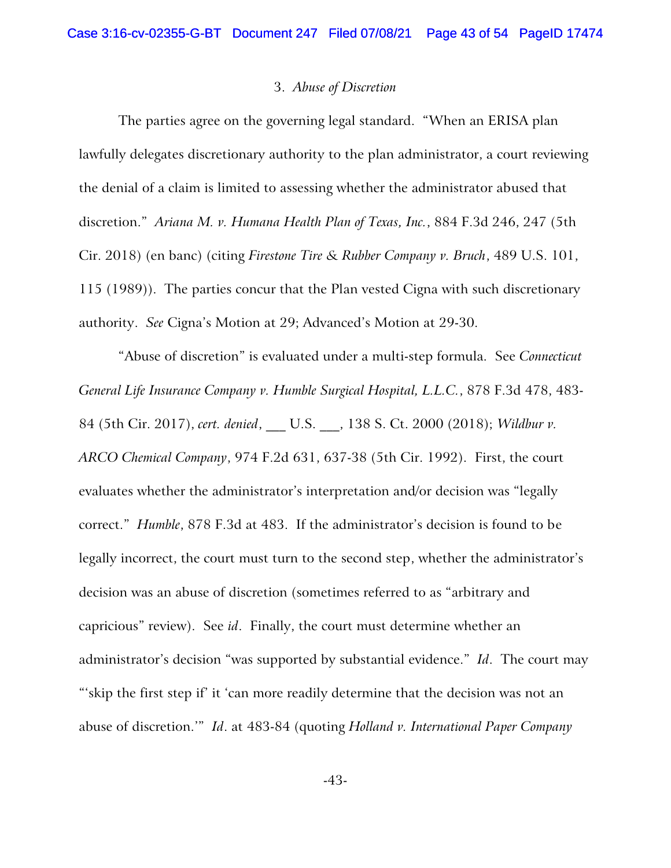#### 3. *Abuse of Discretion*

The parties agree on the governing legal standard. "When an ERISA plan lawfully delegates discretionary authority to the plan administrator, a court reviewing the denial of a claim is limited to assessing whether the administrator abused that discretion." *Ariana M. v. Humana Health Plan of Texas, Inc.*, 884 F.3d 246, 247 (5th Cir. 2018) (en banc) (citing *Firestone Tire & Rubber Company v. Bruch*, 489 U.S. 101, 115 (1989)). The parties concur that the Plan vested Cigna with such discretionary authority. *See* Cigna's Motion at 29; Advanced's Motion at 29-30.

"Abuse of discretion" is evaluated under a multi-step formula. See *Connecticut General Life Insurance Company v. Humble Surgical Hospital, L.L.C.*, 878 F.3d 478, 483- 84 (5th Cir. 2017), *cert. denied*, \_\_\_ U.S. \_\_\_, 138 S. Ct. 2000 (2018); *Wildbur v. ARCO Chemical Company*, 974 F.2d 631, 637-38 (5th Cir. 1992). First, the court evaluates whether the administrator's interpretation and/or decision was "legally correct." *Humble*, 878 F.3d at 483. If the administrator's decision is found to be legally incorrect, the court must turn to the second step, whether the administrator's decision was an abuse of discretion (sometimes referred to as "arbitrary and capricious" review). See *id*. Finally, the court must determine whether an administrator's decision "was supported by substantial evidence." *Id*. The court may "'skip the first step if' it 'can more readily determine that the decision was not an abuse of discretion.'" *Id*. at 483-84 (quoting *Holland v. International Paper Company*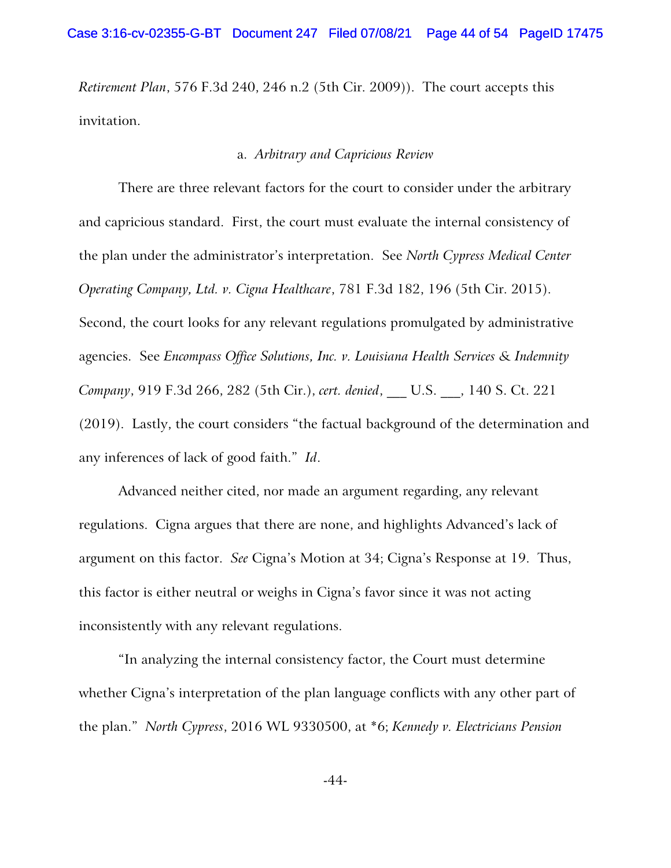*Retirement Plan*, 576 F.3d 240, 246 n.2 (5th Cir. 2009)). The court accepts this invitation.

### a. *Arbitrary and Capricious Review*

There are three relevant factors for the court to consider under the arbitrary and capricious standard. First, the court must evaluate the internal consistency of the plan under the administrator's interpretation. See *North Cypress Medical Center Operating Company, Ltd. v. Cigna Healthcare*, 781 F.3d 182, 196 (5th Cir. 2015). Second, the court looks for any relevant regulations promulgated by administrative agencies. See *Encompass Office Solutions, Inc. v. Louisiana Health Services & Indemnity Company*, 919 F.3d 266, 282 (5th Cir.), *cert. denied*, \_\_\_ U.S. \_\_\_, 140 S. Ct. 221 (2019). Lastly, the court considers "the factual background of the determination and any inferences of lack of good faith." *Id*.

Advanced neither cited, nor made an argument regarding, any relevant regulations. Cigna argues that there are none, and highlights Advanced's lack of argument on this factor. *See* Cigna's Motion at 34; Cigna's Response at 19. Thus, this factor is either neutral or weighs in Cigna's favor since it was not acting inconsistently with any relevant regulations.

"In analyzing the internal consistency factor, the Court must determine whether Cigna's interpretation of the plan language conflicts with any other part of the plan." *North Cypress*, 2016 WL 9330500, at \*6; *Kennedy v. Electricians Pension*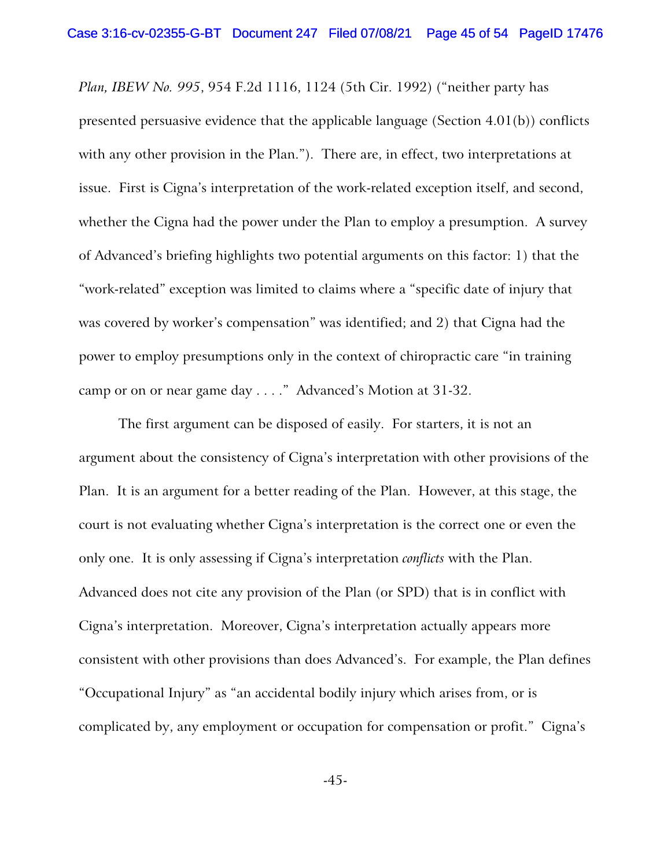*Plan, IBEW No. 995*, 954 F.2d 1116, 1124 (5th Cir. 1992) ("neither party has presented persuasive evidence that the applicable language (Section 4.01(b)) conflicts with any other provision in the Plan."). There are, in effect, two interpretations at issue. First is Cigna's interpretation of the work-related exception itself, and second, whether the Cigna had the power under the Plan to employ a presumption. A survey of Advanced's briefing highlights two potential arguments on this factor: 1) that the "work-related" exception was limited to claims where a "specific date of injury that was covered by worker's compensation" was identified; and 2) that Cigna had the power to employ presumptions only in the context of chiropractic care "in training camp or on or near game day . . . ." Advanced's Motion at 31-32.

The first argument can be disposed of easily. For starters, it is not an argument about the consistency of Cigna's interpretation with other provisions of the Plan. It is an argument for a better reading of the Plan. However, at this stage, the court is not evaluating whether Cigna's interpretation is the correct one or even the only one. It is only assessing if Cigna's interpretation *conflicts* with the Plan. Advanced does not cite any provision of the Plan (or SPD) that is in conflict with Cigna's interpretation. Moreover, Cigna's interpretation actually appears more consistent with other provisions than does Advanced's. For example, the Plan defines "Occupational Injury" as "an accidental bodily injury which arises from, or is complicated by, any employment or occupation for compensation or profit." Cigna's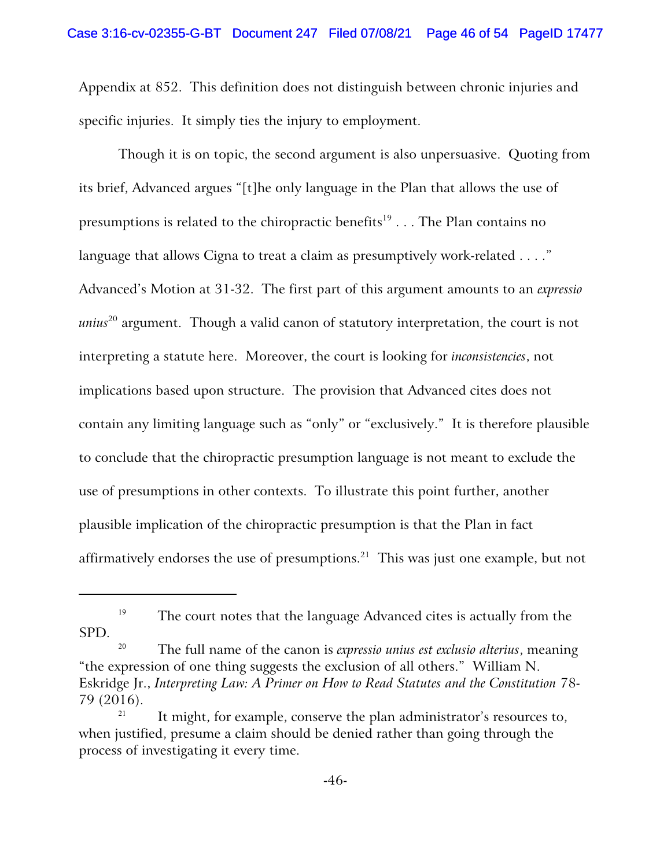Appendix at 852. This definition does not distinguish between chronic injuries and specific injuries. It simply ties the injury to employment.

Though it is on topic, the second argument is also unpersuasive. Quoting from its brief, Advanced argues "[t]he only language in the Plan that allows the use of presumptions is related to the chiropractic benefits $^{19}$  . . . The Plan contains no language that allows Cigna to treat a claim as presumptively work-related . . . ." Advanced's Motion at 31-32. The first part of this argument amounts to an *expressio unius*<sup>20</sup> argument. Though a valid canon of statutory interpretation, the court is not interpreting a statute here. Moreover, the court is looking for *inconsistencies*, not implications based upon structure. The provision that Advanced cites does not contain any limiting language such as "only" or "exclusively." It is therefore plausible to conclude that the chiropractic presumption language is not meant to exclude the use of presumptions in other contexts. To illustrate this point further, another plausible implication of the chiropractic presumption is that the Plan in fact affirmatively endorses the use of presumptions. $^{21}$  This was just one example, but not

<sup>&</sup>lt;sup>19</sup> The court notes that the language Advanced cites is actually from the SPD.

The full name of the canon is *expressio unius est exclusio alterius*, meaning "the expression of one thing suggests the exclusion of all others." William N. Eskridge Jr., *Interpreting Law: A Primer on How to Read Statutes and the Constitution* 78- 79 (2016).

<sup>21</sup> It might, for example, conserve the plan administrator's resources to, when justified, presume a claim should be denied rather than going through the process of investigating it every time.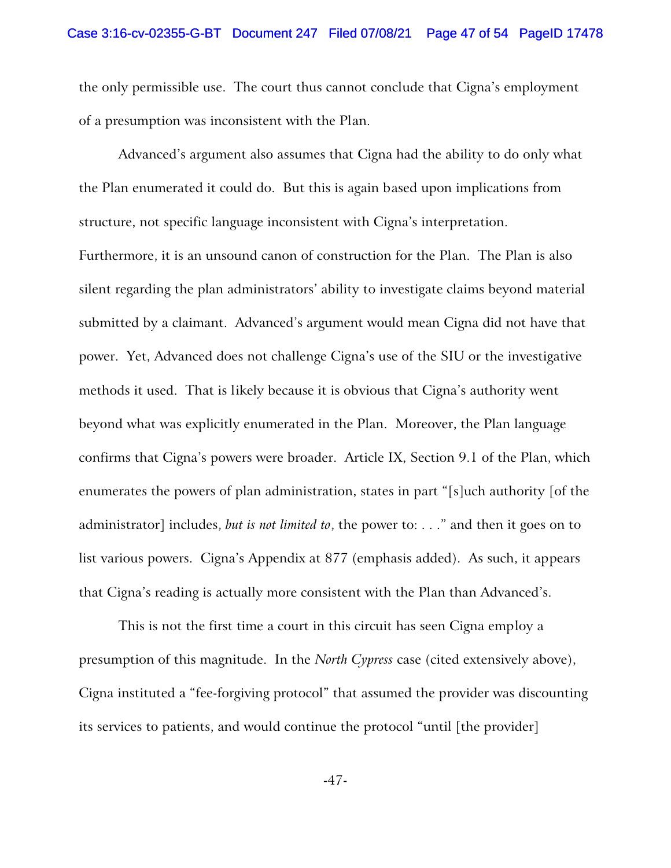the only permissible use. The court thus cannot conclude that Cigna's employment of a presumption was inconsistent with the Plan.

Advanced's argument also assumes that Cigna had the ability to do only what the Plan enumerated it could do. But this is again based upon implications from structure, not specific language inconsistent with Cigna's interpretation.

Furthermore, it is an unsound canon of construction for the Plan. The Plan is also silent regarding the plan administrators' ability to investigate claims beyond material submitted by a claimant. Advanced's argument would mean Cigna did not have that power. Yet, Advanced does not challenge Cigna's use of the SIU or the investigative methods it used. That is likely because it is obvious that Cigna's authority went beyond what was explicitly enumerated in the Plan. Moreover, the Plan language confirms that Cigna's powers were broader. Article IX, Section 9.1 of the Plan, which enumerates the powers of plan administration, states in part "[s]uch authority [of the administrator] includes, *but is not limited to*, the power to: . . ." and then it goes on to list various powers. Cigna's Appendix at 877 (emphasis added). As such, it appears that Cigna's reading is actually more consistent with the Plan than Advanced's.

This is not the first time a court in this circuit has seen Cigna employ a presumption of this magnitude. In the *North Cypress* case (cited extensively above), Cigna instituted a "fee-forgiving protocol" that assumed the provider was discounting its services to patients, and would continue the protocol "until [the provider]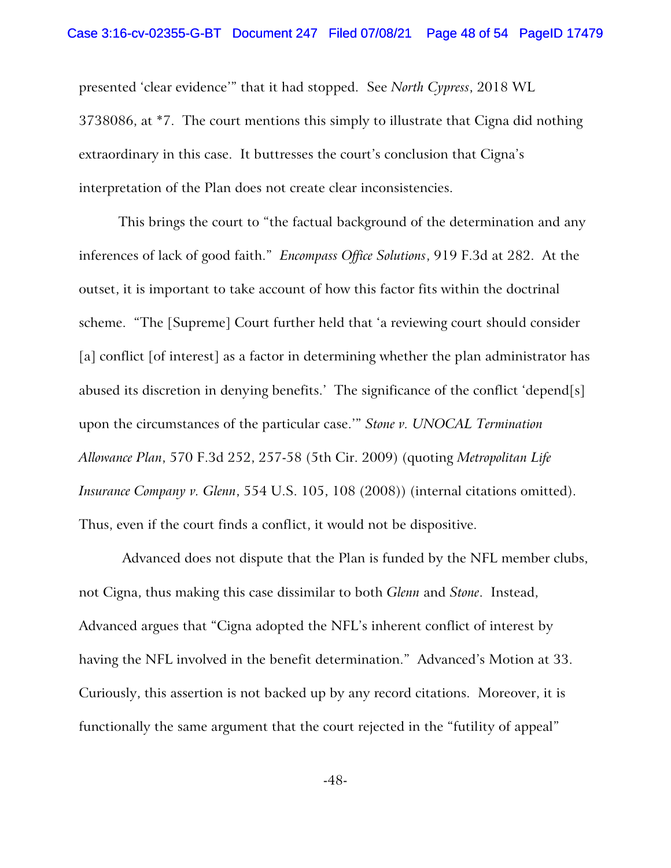presented 'clear evidence'" that it had stopped. See *North Cypress*, 2018 WL 3738086, at \*7. The court mentions this simply to illustrate that Cigna did nothing extraordinary in this case. It buttresses the court's conclusion that Cigna's interpretation of the Plan does not create clear inconsistencies.

This brings the court to "the factual background of the determination and any inferences of lack of good faith." *Encompass Office Solutions*, 919 F.3d at 282. At the outset, it is important to take account of how this factor fits within the doctrinal scheme. "The [Supreme] Court further held that 'a reviewing court should consider [a] conflict [of interest] as a factor in determining whether the plan administrator has abused its discretion in denying benefits.' The significance of the conflict 'depend[s] upon the circumstances of the particular case.'" *Stone v. UNOCAL Termination Allowance Plan*, 570 F.3d 252, 257-58 (5th Cir. 2009) (quoting *Metropolitan Life Insurance Company v. Glenn*, 554 U.S. 105, 108 (2008)) (internal citations omitted). Thus, even if the court finds a conflict, it would not be dispositive.

 Advanced does not dispute that the Plan is funded by the NFL member clubs, not Cigna, thus making this case dissimilar to both *Glenn* and *Stone*. Instead, Advanced argues that "Cigna adopted the NFL's inherent conflict of interest by having the NFL involved in the benefit determination." Advanced's Motion at 33. Curiously, this assertion is not backed up by any record citations. Moreover, it is functionally the same argument that the court rejected in the "futility of appeal"

-48-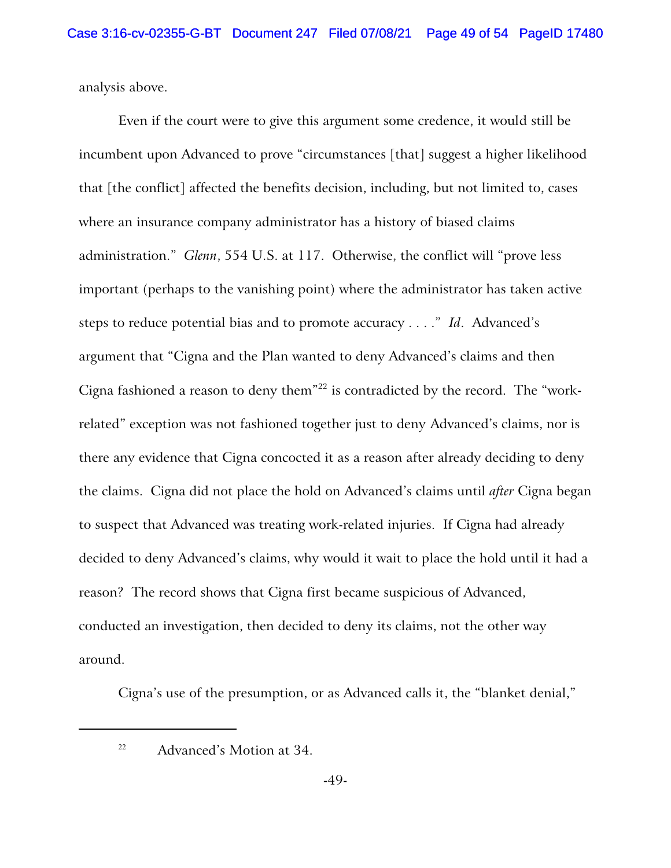analysis above.

Even if the court were to give this argument some credence, it would still be incumbent upon Advanced to prove "circumstances [that] suggest a higher likelihood that [the conflict] affected the benefits decision, including, but not limited to, cases where an insurance company administrator has a history of biased claims administration." *Glenn*, 554 U.S. at 117. Otherwise, the conflict will "prove less important (perhaps to the vanishing point) where the administrator has taken active steps to reduce potential bias and to promote accuracy . . . ." *Id*. Advanced's argument that "Cigna and the Plan wanted to deny Advanced's claims and then Cigna fashioned a reason to deny them"<sup>22</sup> is contradicted by the record. The "workrelated" exception was not fashioned together just to deny Advanced's claims, nor is there any evidence that Cigna concocted it as a reason after already deciding to deny the claims. Cigna did not place the hold on Advanced's claims until *after* Cigna began to suspect that Advanced was treating work-related injuries. If Cigna had already decided to deny Advanced's claims, why would it wait to place the hold until it had a reason? The record shows that Cigna first became suspicious of Advanced, conducted an investigation, then decided to deny its claims, not the other way around.

Cigna's use of the presumption, or as Advanced calls it, the "blanket denial,"

<sup>22</sup> Advanced's Motion at 34.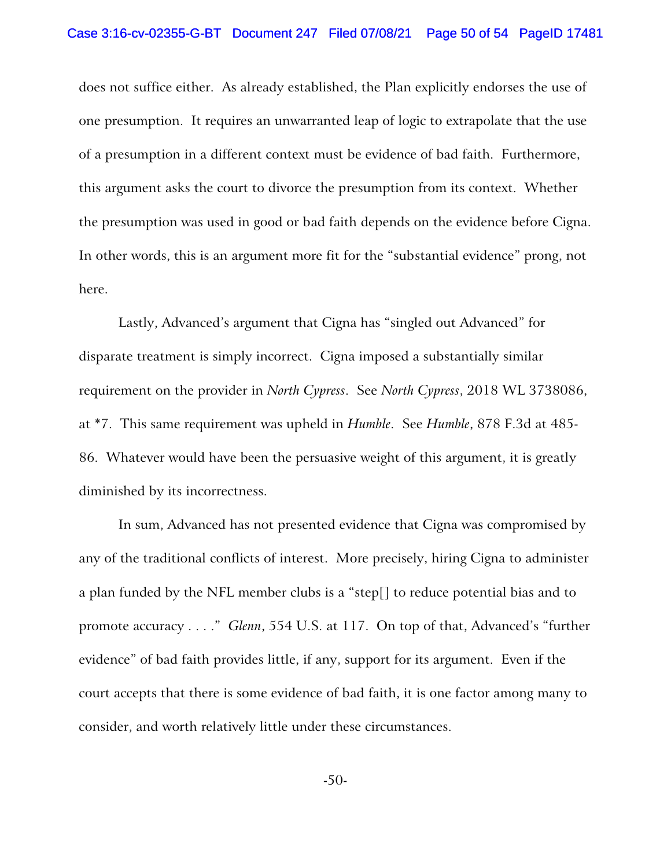does not suffice either. As already established, the Plan explicitly endorses the use of one presumption. It requires an unwarranted leap of logic to extrapolate that the use of a presumption in a different context must be evidence of bad faith. Furthermore, this argument asks the court to divorce the presumption from its context. Whether the presumption was used in good or bad faith depends on the evidence before Cigna. In other words, this is an argument more fit for the "substantial evidence" prong, not here.

Lastly, Advanced's argument that Cigna has "singled out Advanced" for disparate treatment is simply incorrect. Cigna imposed a substantially similar requirement on the provider in *North Cypress*. See *North Cypress*, 2018 WL 3738086, at \*7. This same requirement was upheld in *Humble*. See *Humble*, 878 F.3d at 485- 86. Whatever would have been the persuasive weight of this argument, it is greatly diminished by its incorrectness.

In sum, Advanced has not presented evidence that Cigna was compromised by any of the traditional conflicts of interest. More precisely, hiring Cigna to administer a plan funded by the NFL member clubs is a "step[] to reduce potential bias and to promote accuracy . . . ." *Glenn*, 554 U.S. at 117. On top of that, Advanced's "further evidence" of bad faith provides little, if any, support for its argument. Even if the court accepts that there is some evidence of bad faith, it is one factor among many to consider, and worth relatively little under these circumstances.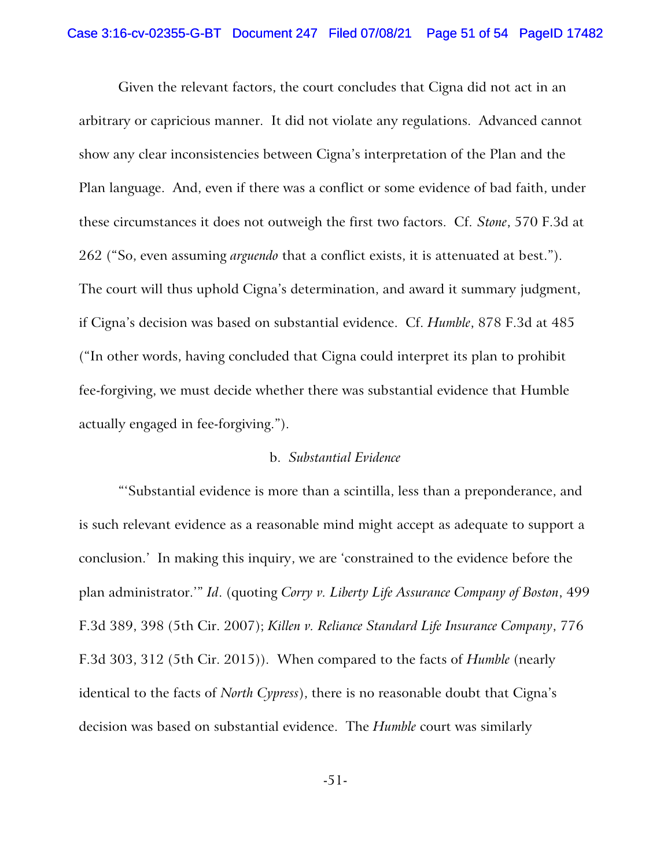Given the relevant factors, the court concludes that Cigna did not act in an arbitrary or capricious manner. It did not violate any regulations. Advanced cannot show any clear inconsistencies between Cigna's interpretation of the Plan and the Plan language. And, even if there was a conflict or some evidence of bad faith, under these circumstances it does not outweigh the first two factors. Cf. *Stone*, 570 F.3d at 262 ("So, even assuming *arguendo* that a conflict exists, it is attenuated at best."). The court will thus uphold Cigna's determination, and award it summary judgment, if Cigna's decision was based on substantial evidence. Cf. *Humble*, 878 F.3d at 485 ("In other words, having concluded that Cigna could interpret its plan to prohibit fee-forgiving, we must decide whether there was substantial evidence that Humble actually engaged in fee-forgiving.").

#### b. *Substantial Evidence*

"'Substantial evidence is more than a scintilla, less than a preponderance, and is such relevant evidence as a reasonable mind might accept as adequate to support a conclusion.' In making this inquiry, we are 'constrained to the evidence before the plan administrator.'" *Id*. (quoting *Corry v. Liberty Life Assurance Company of Boston*, 499 F.3d 389, 398 (5th Cir. 2007); *Killen v. Reliance Standard Life Insurance Company*, 776 F.3d 303, 312 (5th Cir. 2015)). When compared to the facts of *Humble* (nearly identical to the facts of *North Cypress*), there is no reasonable doubt that Cigna's decision was based on substantial evidence. The *Humble* court was similarly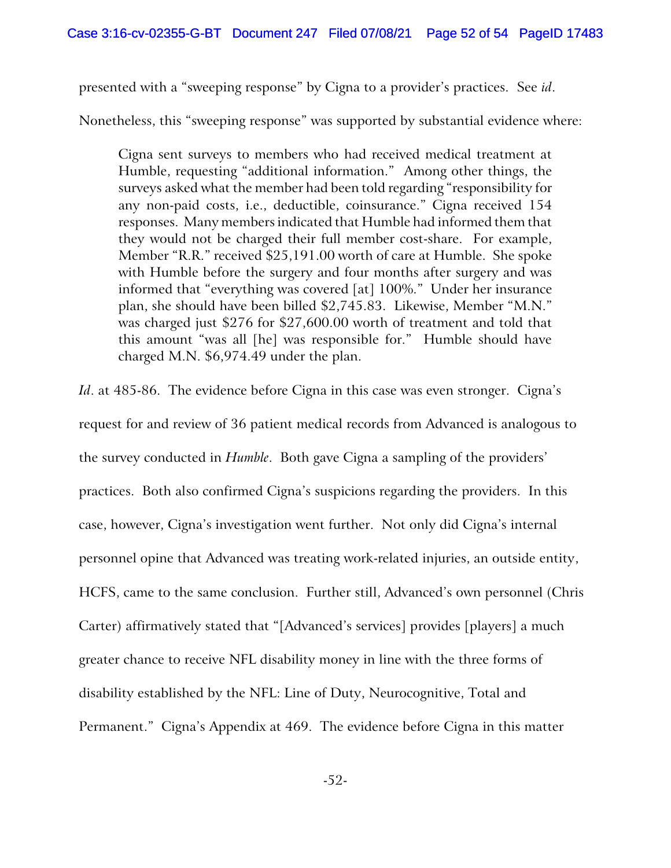presented with a "sweeping response" by Cigna to a provider's practices. See *id*.

Nonetheless, this "sweeping response" was supported by substantial evidence where:

Cigna sent surveys to members who had received medical treatment at Humble, requesting "additional information." Among other things, the surveys asked what the member had been told regarding "responsibility for any non-paid costs, i.e., deductible, coinsurance." Cigna received 154 responses. Many members indicated that Humble had informed them that they would not be charged their full member cost-share. For example, Member "R.R." received \$25,191.00 worth of care at Humble. She spoke with Humble before the surgery and four months after surgery and was informed that "everything was covered [at] 100%." Under her insurance plan, she should have been billed \$2,745.83. Likewise, Member "M.N." was charged just \$276 for \$27,600.00 worth of treatment and told that this amount "was all [he] was responsible for." Humble should have charged M.N. \$6,974.49 under the plan.

*Id*. at 485-86. The evidence before Cigna in this case was even stronger. Cigna's request for and review of 36 patient medical records from Advanced is analogous to the survey conducted in *Humble*. Both gave Cigna a sampling of the providers' practices. Both also confirmed Cigna's suspicions regarding the providers. In this case, however, Cigna's investigation went further. Not only did Cigna's internal personnel opine that Advanced was treating work-related injuries, an outside entity, HCFS, came to the same conclusion. Further still, Advanced's own personnel (Chris Carter) affirmatively stated that "[Advanced's services] provides [players] a much greater chance to receive NFL disability money in line with the three forms of disability established by the NFL: Line of Duty, Neurocognitive, Total and Permanent." Cigna's Appendix at 469. The evidence before Cigna in this matter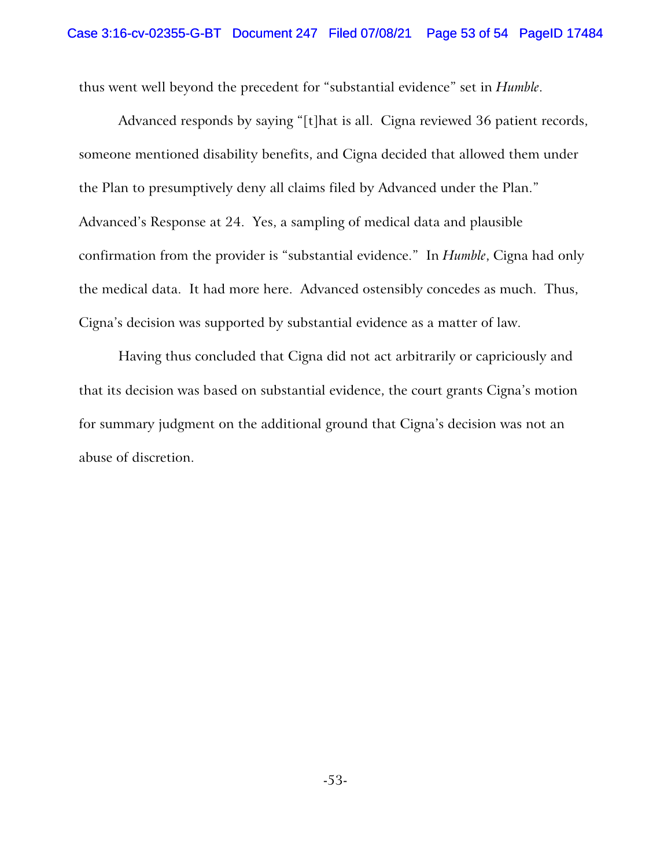thus went well beyond the precedent for "substantial evidence" set in *Humble*.

Advanced responds by saying "[t]hat is all. Cigna reviewed 36 patient records, someone mentioned disability benefits, and Cigna decided that allowed them under the Plan to presumptively deny all claims filed by Advanced under the Plan." Advanced's Response at 24. Yes, a sampling of medical data and plausible confirmation from the provider is "substantial evidence." In *Humble*, Cigna had only the medical data. It had more here. Advanced ostensibly concedes as much. Thus, Cigna's decision was supported by substantial evidence as a matter of law.

Having thus concluded that Cigna did not act arbitrarily or capriciously and that its decision was based on substantial evidence, the court grants Cigna's motion for summary judgment on the additional ground that Cigna's decision was not an abuse of discretion.